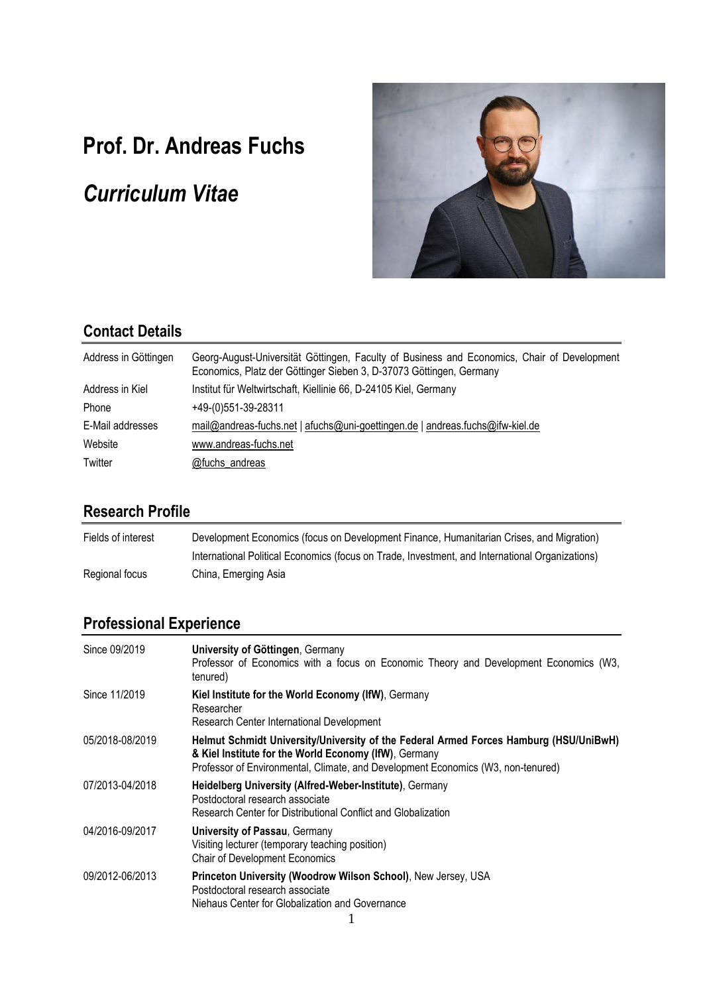# **Prof. Dr. Andreas Fuchs**

# *Curriculum Vitae*



### **Contact Details**

| Address in Göttingen | Georg-August-Universität Göttingen, Faculty of Business and Economics, Chair of Development<br>Economics, Platz der Göttinger Sieben 3, D-37073 Göttingen, Germany |
|----------------------|--------------------------------------------------------------------------------------------------------------------------------------------------------------------|
| Address in Kiel      | Institut für Weltwirtschaft, Kiellinie 66, D-24105 Kiel, Germany                                                                                                   |
| Phone                | $+49-(0)551-39-28311$                                                                                                                                              |
| E-Mail addresses     | mail@andreas-fuchs.net   afuchs@uni-goettingen.de   andreas.fuchs@ifw-kiel.de                                                                                      |
| Website              | www.andreas-fuchs.net                                                                                                                                              |
| Twitter              | @fuchs_andreas                                                                                                                                                     |

### **Research Profile**

| Fields of interest | Development Economics (focus on Development Finance, Humanitarian Crises, and Migration)        |
|--------------------|-------------------------------------------------------------------------------------------------|
|                    | International Political Economics (focus on Trade, Investment, and International Organizations) |
| Regional focus     | China, Emerging Asia                                                                            |

# **Professional Experience**

| Since 09/2019   | University of Göttingen, Germany<br>Professor of Economics with a focus on Economic Theory and Development Economics (W3,<br>tenured)                                                                                              |
|-----------------|------------------------------------------------------------------------------------------------------------------------------------------------------------------------------------------------------------------------------------|
| Since 11/2019   | Kiel Institute for the World Economy (IfW), Germany<br>Researcher<br>Research Center International Development                                                                                                                     |
| 05/2018-08/2019 | Helmut Schmidt University/University of the Federal Armed Forces Hamburg (HSU/UniBwH)<br>& Kiel Institute for the World Economy (IfW), Germany<br>Professor of Environmental, Climate, and Development Economics (W3, non-tenured) |
| 07/2013-04/2018 | Heidelberg University (Alfred-Weber-Institute), Germany<br>Postdoctoral research associate<br>Research Center for Distributional Conflict and Globalization                                                                        |
| 04/2016-09/2017 | University of Passau, Germany<br>Visiting lecturer (temporary teaching position)<br><b>Chair of Development Economics</b>                                                                                                          |
| 09/2012-06/2013 | Princeton University (Woodrow Wilson School), New Jersey, USA<br>Postdoctoral research associate<br>Niehaus Center for Globalization and Governance                                                                                |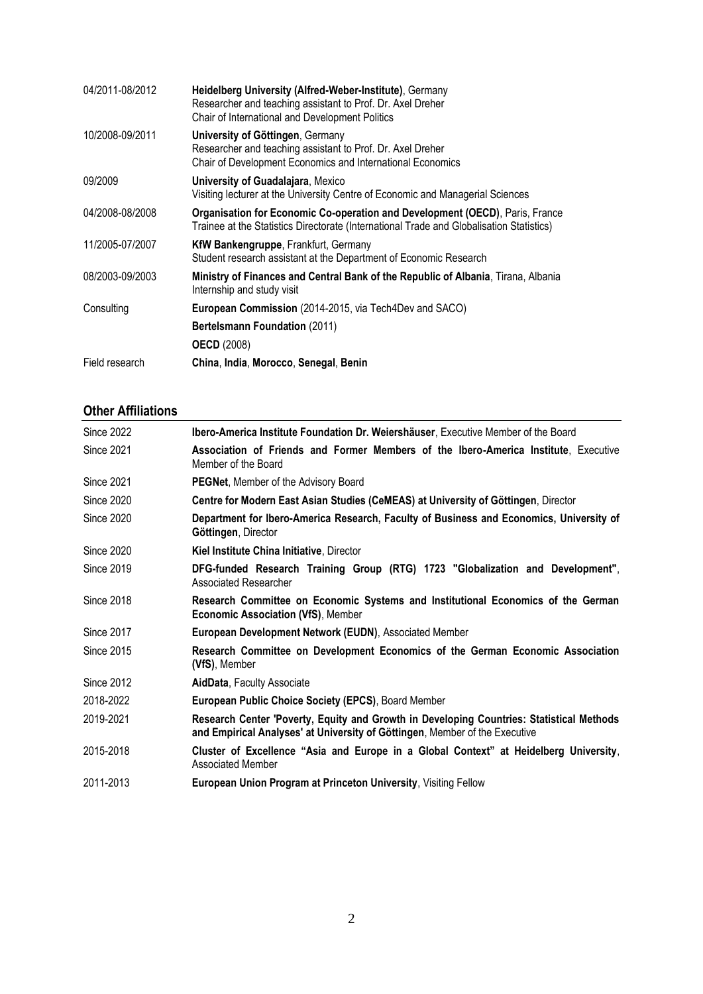| 04/2011-08/2012 | Heidelberg University (Alfred-Weber-Institute), Germany<br>Researcher and teaching assistant to Prof. Dr. Axel Dreher<br>Chair of International and Development Politics |
|-----------------|--------------------------------------------------------------------------------------------------------------------------------------------------------------------------|
| 10/2008-09/2011 | University of Göttingen, Germany<br>Researcher and teaching assistant to Prof. Dr. Axel Dreher<br><b>Chair of Development Economics and International Economics</b>      |
| 09/2009         | <b>University of Guadalajara, Mexico</b><br>Visiting lecturer at the University Centre of Economic and Managerial Sciences                                               |
| 04/2008-08/2008 | Organisation for Economic Co-operation and Development (OECD), Paris, France<br>Trainee at the Statistics Directorate (International Trade and Globalisation Statistics) |
| 11/2005-07/2007 | <b>KfW Bankengruppe, Frankfurt, Germany</b><br>Student research assistant at the Department of Economic Research                                                         |
| 08/2003-09/2003 | Ministry of Finances and Central Bank of the Republic of Albania, Tirana, Albania<br>Internship and study visit                                                          |
| Consulting      | European Commission (2014-2015, via Tech4Dev and SACO)                                                                                                                   |
|                 | <b>Bertelsmann Foundation (2011)</b>                                                                                                                                     |
|                 | <b>OECD</b> (2008)                                                                                                                                                       |
| Field research  | China, India, Morocco, Senegal, Benin                                                                                                                                    |

### **Other Affiliations**

| <b>Since 2022</b> | Ibero-America Institute Foundation Dr. Weiershäuser, Executive Member of the Board                                                                                      |
|-------------------|-------------------------------------------------------------------------------------------------------------------------------------------------------------------------|
| <b>Since 2021</b> | Association of Friends and Former Members of the Ibero-America Institute, Executive<br>Member of the Board                                                              |
| <b>Since 2021</b> | <b>PEGNet, Member of the Advisory Board</b>                                                                                                                             |
| Since 2020        | Centre for Modern East Asian Studies (CeMEAS) at University of Göttingen, Director                                                                                      |
| <b>Since 2020</b> | Department for Ibero-America Research, Faculty of Business and Economics, University of<br>Göttingen, Director                                                          |
| Since 2020        | Kiel Institute China Initiative, Director                                                                                                                               |
| <b>Since 2019</b> | DFG-funded Research Training Group (RTG) 1723 "Globalization and Development",<br>Associated Researcher                                                                 |
| <b>Since 2018</b> | Research Committee on Economic Systems and Institutional Economics of the German<br><b>Economic Association (VfS), Member</b>                                           |
| <b>Since 2017</b> | European Development Network (EUDN), Associated Member                                                                                                                  |
| Since 2015        | Research Committee on Development Economics of the German Economic Association<br>(VfS), Member                                                                         |
| <b>Since 2012</b> | AidData, Faculty Associate                                                                                                                                              |
| 2018-2022         | European Public Choice Society (EPCS), Board Member                                                                                                                     |
| 2019-2021         | Research Center 'Poverty, Equity and Growth in Developing Countries: Statistical Methods<br>and Empirical Analyses' at University of Göttingen, Member of the Executive |
| 2015-2018         | Cluster of Excellence "Asia and Europe in a Global Context" at Heidelberg University,<br><b>Associated Member</b>                                                       |
| 2011-2013         | <b>European Union Program at Princeton University, Visiting Fellow</b>                                                                                                  |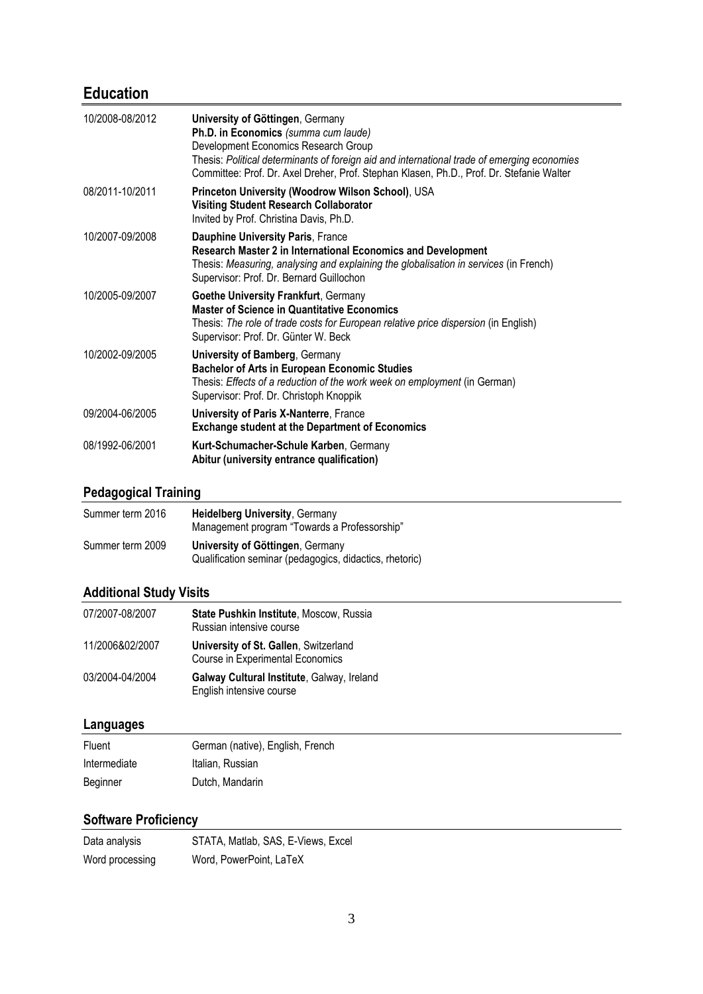# **Education**

| 10/2008-08/2012 | University of Göttingen, Germany<br>Ph.D. in Economics (summa cum laude)<br>Development Economics Research Group<br>Thesis: Political determinants of foreign aid and international trade of emerging economies<br>Committee: Prof. Dr. Axel Dreher, Prof. Stephan Klasen, Ph.D., Prof. Dr. Stefanie Walter |
|-----------------|-------------------------------------------------------------------------------------------------------------------------------------------------------------------------------------------------------------------------------------------------------------------------------------------------------------|
| 08/2011-10/2011 | Princeton University (Woodrow Wilson School), USA<br><b>Visiting Student Research Collaborator</b><br>Invited by Prof. Christina Davis, Ph.D.                                                                                                                                                               |
| 10/2007-09/2008 | Dauphine University Paris, France<br>Research Master 2 in International Economics and Development<br>Thesis: Measuring, analysing and explaining the globalisation in services (in French)<br>Supervisor: Prof. Dr. Bernard Guillochon                                                                      |
| 10/2005-09/2007 | <b>Goethe University Frankfurt, Germany</b><br><b>Master of Science in Quantitative Economics</b><br>Thesis: The role of trade costs for European relative price dispersion (in English)<br>Supervisor: Prof. Dr. Günter W. Beck                                                                            |
| 10/2002-09/2005 | <b>University of Bamberg, Germany</b><br><b>Bachelor of Arts in European Economic Studies</b><br>Thesis: Effects of a reduction of the work week on employment (in German)<br>Supervisor: Prof. Dr. Christoph Knoppik                                                                                       |
| 09/2004-06/2005 | University of Paris X-Nanterre, France<br><b>Exchange student at the Department of Economics</b>                                                                                                                                                                                                            |
| 08/1992-06/2001 | Kurt-Schumacher-Schule Karben, Germany<br>Abitur (university entrance qualification)                                                                                                                                                                                                                        |

## **Pedagogical Training**

| Summer term 2016 | <b>Heidelberg University, Germany</b><br>Management program "Towards a Professorship"              |
|------------------|----------------------------------------------------------------------------------------------------|
| Summer term 2009 | <b>University of Göttingen, Germany</b><br>Qualification seminar (pedagogics, didactics, rhetoric) |

### **Additional Study Visits**

| 07/2007-08/2007 | State Pushkin Institute, Moscow, Russia<br>Russian intensive course       |
|-----------------|---------------------------------------------------------------------------|
| 11/2006&02/2007 | University of St. Gallen, Switzerland<br>Course in Experimental Economics |
| 03/2004-04/2004 | Galway Cultural Institute, Galway, Ireland<br>English intensive course    |

### **Languages**

| Fluent       | German (native), English, French |
|--------------|----------------------------------|
| Intermediate | Italian, Russian                 |
| Beginner     | Dutch, Mandarin                  |

#### **Software Proficiency**

| Data analysis   | STATA, Matlab, SAS, E-Views, Excel |
|-----------------|------------------------------------|
| Word processing | Word, PowerPoint, LaTeX            |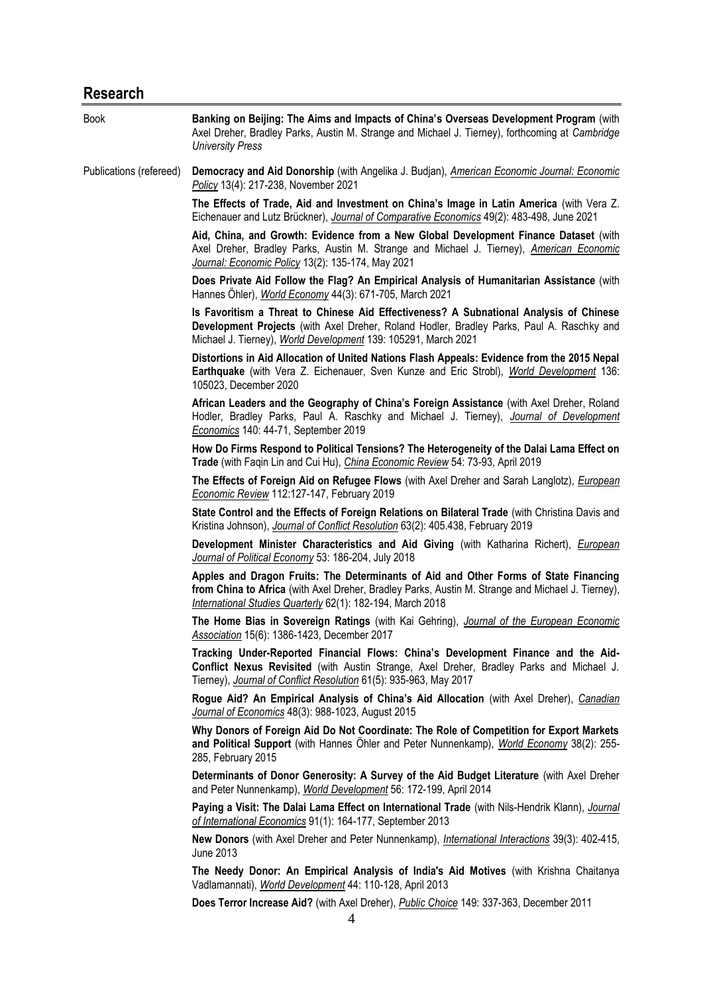# **Research**

| <b>Book</b>             | Banking on Beijing: The Aims and Impacts of China's Overseas Development Program (with<br>Axel Dreher, Bradley Parks, Austin M. Strange and Michael J. Tierney), forthcoming at Cambridge<br><b>University Press</b>                                    |
|-------------------------|---------------------------------------------------------------------------------------------------------------------------------------------------------------------------------------------------------------------------------------------------------|
| Publications (refereed) | Democracy and Aid Donorship (with Angelika J. Budjan), American Economic Journal: Economic<br>Policy 13(4): 217-238, November 2021                                                                                                                      |
|                         | The Effects of Trade, Aid and Investment on China's Image in Latin America (with Vera Z.<br>Eichenauer and Lutz Brückner), Journal of Comparative Economics 49(2): 483-498, June 2021                                                                   |
|                         | Aid, China, and Growth: Evidence from a New Global Development Finance Dataset (with<br>Axel Dreher, Bradley Parks, Austin M. Strange and Michael J. Tierney), American Economic<br>Journal: Economic Policy 13(2): 135-174, May 2021                   |
|                         | Does Private Aid Follow the Flag? An Empirical Analysis of Humanitarian Assistance (with<br>Hannes Öhler), World Economy 44(3): 671-705, March 2021                                                                                                     |
|                         | Is Favoritism a Threat to Chinese Aid Effectiveness? A Subnational Analysis of Chinese<br>Development Projects (with Axel Dreher, Roland Hodler, Bradley Parks, Paul A. Raschky and<br>Michael J. Tierney), World Development 139: 105291, March 2021   |
|                         | Distortions in Aid Allocation of United Nations Flash Appeals: Evidence from the 2015 Nepal<br>Earthquake (with Vera Z. Eichenauer, Sven Kunze and Eric Strobl), World Development 136:<br>105023, December 2020                                        |
|                         | African Leaders and the Geography of China's Foreign Assistance (with Axel Dreher, Roland<br>Hodler, Bradley Parks, Paul A. Raschky and Michael J. Tierney), Journal of Development<br>Economics 140: 44-71, September 2019                             |
|                         | How Do Firms Respond to Political Tensions? The Heterogeneity of the Dalai Lama Effect on<br>Trade (with Faqin Lin and Cui Hu), China Economic Review 54: 73-93, April 2019                                                                             |
|                         | The Effects of Foreign Aid on Refugee Flows (with Axel Dreher and Sarah Langlotz), <i>European</i><br>Economic Review 112:127-147, February 2019                                                                                                        |
|                         | State Control and the Effects of Foreign Relations on Bilateral Trade (with Christina Davis and<br>Kristina Johnson), Journal of Conflict Resolution 63(2): 405.438, February 2019                                                                      |
|                         | Development Minister Characteristics and Aid Giving (with Katharina Richert), <i>European</i><br>Journal of Political Economy 53: 186-204, July 2018                                                                                                    |
|                         | Apples and Dragon Fruits: The Determinants of Aid and Other Forms of State Financing<br>from China to Africa (with Axel Dreher, Bradley Parks, Austin M. Strange and Michael J. Tierney),<br>International Studies Quarterly 62(1): 182-194, March 2018 |
|                         | The Home Bias in Sovereign Ratings (with Kai Gehring), Journal of the European Economic<br>Association 15(6): 1386-1423, December 2017                                                                                                                  |
|                         | Tracking Under-Reported Financial Flows: China's Development Finance and the Aid-<br>Conflict Nexus Revisited (with Austin Strange, Axel Dreher, Bradley Parks and Michael J.<br>Tierney), Journal of Conflict Resolution 61(5): 935-963, May 2017      |
|                         | Rogue Aid? An Empirical Analysis of China's Aid Allocation (with Axel Dreher), Canadian<br>Journal of Economics 48(3): 988-1023, August 2015                                                                                                            |
|                         | Why Donors of Foreign Aid Do Not Coordinate: The Role of Competition for Export Markets<br>and Political Support (with Hannes Ohler and Peter Nunnenkamp), World Economy 38(2): 255-<br>285, February 2015                                              |
|                         | Determinants of Donor Generosity: A Survey of the Aid Budget Literature (with Axel Dreher<br>and Peter Nunnenkamp), World Development 56: 172-199, April 2014                                                                                           |
|                         | Paying a Visit: The Dalai Lama Effect on International Trade (with Nils-Hendrik Klann), Journal<br>of International Economics 91(1): 164-177, September 2013                                                                                            |
|                         | New Donors (with Axel Dreher and Peter Nunnenkamp), <i>International Interactions</i> 39(3): 402-415,<br>June 2013                                                                                                                                      |
|                         | The Needy Donor: An Empirical Analysis of India's Aid Motives (with Krishna Chaitanya<br>Vadlamannati), World Development 44: 110-128, April 2013                                                                                                       |
|                         | Does Terror Increase Aid? (with Axel Dreher), <i>Public Choice</i> 149: 337-363, December 2011<br>4                                                                                                                                                     |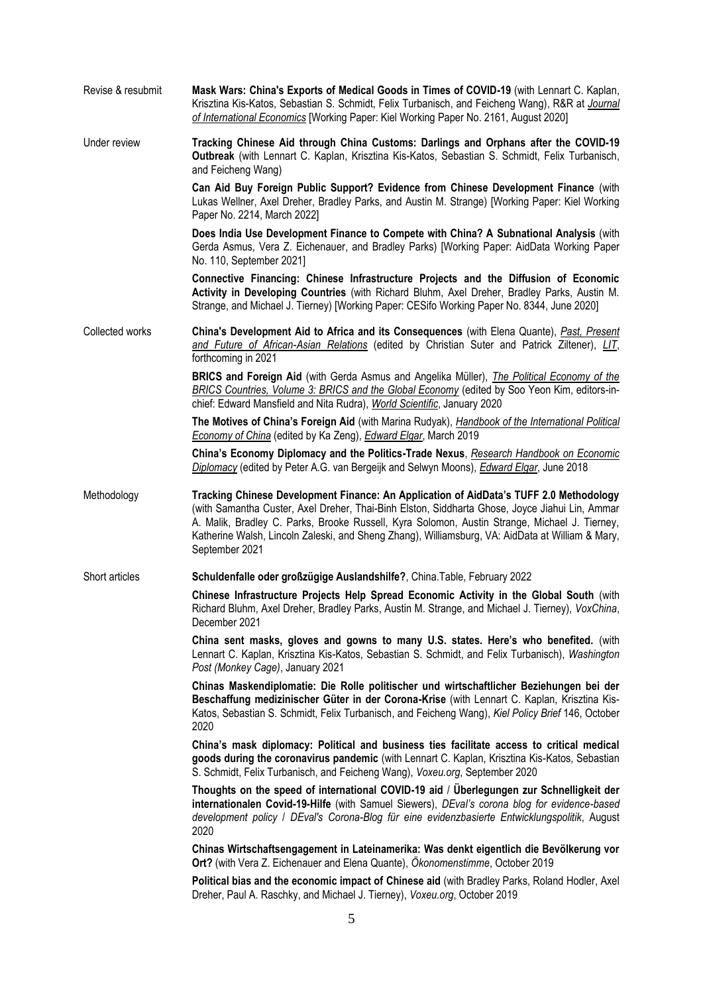| Revise & resubmit | Mask Wars: China's Exports of Medical Goods in Times of COVID-19 (with Lennart C. Kaplan,<br>Krisztina Kis-Katos, Sebastian S. Schmidt, Felix Turbanisch, and Feicheng Wang), R&R at Journal<br>of International Economics [Working Paper: Kiel Working Paper No. 2161, August 2020]                                                                                                                            |
|-------------------|-----------------------------------------------------------------------------------------------------------------------------------------------------------------------------------------------------------------------------------------------------------------------------------------------------------------------------------------------------------------------------------------------------------------|
| Under review      | Tracking Chinese Aid through China Customs: Darlings and Orphans after the COVID-19<br>Outbreak (with Lennart C. Kaplan, Krisztina Kis-Katos, Sebastian S. Schmidt, Felix Turbanisch,<br>and Feicheng Wang)                                                                                                                                                                                                     |
|                   | Can Aid Buy Foreign Public Support? Evidence from Chinese Development Finance (with<br>Lukas Wellner, Axel Dreher, Bradley Parks, and Austin M. Strange) [Working Paper: Kiel Working<br>Paper No. 2214, March 2022]                                                                                                                                                                                            |
|                   | Does India Use Development Finance to Compete with China? A Subnational Analysis (with<br>Gerda Asmus, Vera Z. Eichenauer, and Bradley Parks) [Working Paper: AidData Working Paper<br>No. 110, September 2021]                                                                                                                                                                                                 |
|                   | Connective Financing: Chinese Infrastructure Projects and the Diffusion of Economic<br>Activity in Developing Countries (with Richard Bluhm, Axel Dreher, Bradley Parks, Austin M.<br>Strange, and Michael J. Tierney) [Working Paper: CESifo Working Paper No. 8344, June 2020]                                                                                                                                |
| Collected works   | China's Development Aid to Africa and its Consequences (with Elena Quante), Past, Present<br>and Future of African-Asian Relations (edited by Christian Suter and Patrick Ziltener), LIT,<br>forthcoming in 2021                                                                                                                                                                                                |
|                   | BRICS and Foreign Aid (with Gerda Asmus and Angelika Müller), The Political Economy of the<br>BRICS Countries, Volume 3: BRICS and the Global Economy (edited by Soo Yeon Kim, editors-in-<br>chief: Edward Mansfield and Nita Rudra), World Scientific, January 2020                                                                                                                                           |
|                   | The Motives of China's Foreign Aid (with Marina Rudyak), Handbook of the International Political<br>Economy of China (edited by Ka Zeng), Edward Elgar, March 2019                                                                                                                                                                                                                                              |
|                   | China's Economy Diplomacy and the Politics-Trade Nexus, Research Handbook on Economic<br>Diplomacy (edited by Peter A.G. van Bergeijk and Selwyn Moons), Edward Elgar, June 2018                                                                                                                                                                                                                                |
| Methodology       | Tracking Chinese Development Finance: An Application of AidData's TUFF 2.0 Methodology<br>(with Samantha Custer, Axel Dreher, Thai-Binh Elston, Siddharta Ghose, Joyce Jiahui Lin, Ammar<br>A. Malik, Bradley C. Parks, Brooke Russell, Kyra Solomon, Austin Strange, Michael J. Tierney,<br>Katherine Walsh, Lincoln Zaleski, and Sheng Zhang), Williamsburg, VA: AidData at William & Mary,<br>September 2021 |
| Short articles    | Schuldenfalle oder großzügige Auslandshilfe?, China.Table, February 2022                                                                                                                                                                                                                                                                                                                                        |
|                   | Chinese Infrastructure Projects Help Spread Economic Activity in the Global South (with<br>Richard Bluhm, Axel Dreher, Bradley Parks, Austin M. Strange, and Michael J. Tierney), VoxChina,<br>December 2021                                                                                                                                                                                                    |
|                   | China sent masks, gloves and gowns to many U.S. states. Here's who benefited. (with<br>Lennart C. Kaplan, Krisztina Kis-Katos, Sebastian S. Schmidt, and Felix Turbanisch), Washington<br>Post (Monkey Cage), January 2021                                                                                                                                                                                      |
|                   | Chinas Maskendiplomatie: Die Rolle politischer und wirtschaftlicher Beziehungen bei der<br>Beschaffung medizinischer Güter in der Corona-Krise (with Lennart C. Kaplan, Krisztina Kis-<br>Katos, Sebastian S. Schmidt, Felix Turbanisch, and Feicheng Wang), Kiel Policy Brief 146, October<br>2020                                                                                                             |
|                   | China's mask diplomacy: Political and business ties facilitate access to critical medical<br>goods during the coronavirus pandemic (with Lennart C. Kaplan, Krisztina Kis-Katos, Sebastian<br>S. Schmidt, Felix Turbanisch, and Feicheng Wang), Voxeu.org, September 2020                                                                                                                                       |
|                   | Thoughts on the speed of international COVID-19 aid / Überlegungen zur Schnelligkeit der<br>internationalen Covid-19-Hilfe (with Samuel Siewers), DEval's corona blog for evidence-based<br>development policy / DEval's Corona-Blog für eine evidenzbasierte Entwicklungspolitik, August<br>2020                                                                                                               |
|                   | Chinas Wirtschaftsengagement in Lateinamerika: Was denkt eigentlich die Bevölkerung vor<br><b>Ort?</b> (with Vera Z. Eichenauer and Elena Quante), Ökonomenstimme, October 2019                                                                                                                                                                                                                                 |
|                   | Political bias and the economic impact of Chinese aid (with Bradley Parks, Roland Hodler, Axel<br>Dreher, Paul A. Raschky, and Michael J. Tierney), Voxeu.org, October 2019                                                                                                                                                                                                                                     |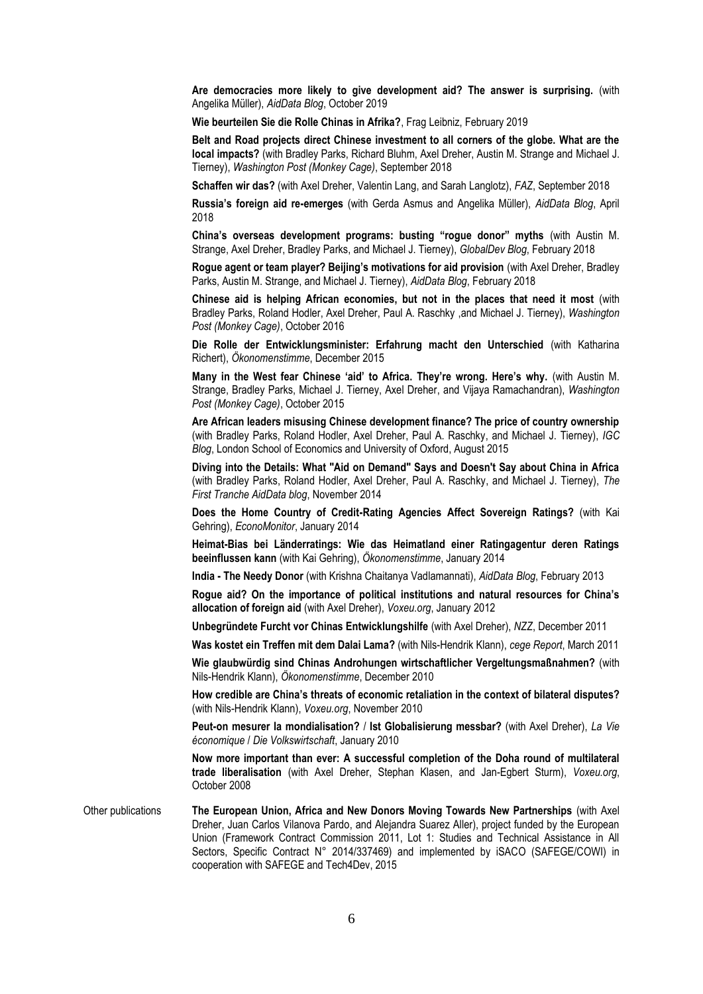**Are democracies more likely to give development aid? The answer is surprising.** (with Angelika Müller), *AidData Blog*, October 2019

**Wie beurteilen Sie die Rolle Chinas in Afrika?**, Frag Leibniz, February 2019

**Belt and Road projects direct Chinese investment to all corners of the globe. What are the local impacts?** (with Bradley Parks, Richard Bluhm, Axel Dreher, Austin M. Strange and Michael J. Tierney), *Washington Post (Monkey Cage)*, September 2018

**Schaffen wir das?** (with Axel Dreher, Valentin Lang, and Sarah Langlotz), *FAZ*, September 2018

**Russia's foreign aid re-emerges** (with Gerda Asmus and Angelika Müller), *AidData Blog*, April 2018

**China's overseas development programs: busting "rogue donor" myths** (with Austin M. Strange, Axel Dreher, Bradley Parks, and Michael J. Tierney), *GlobalDev Blog*, February 2018

**Rogue agent or team player? Beijing's motivations for aid provision** (with Axel Dreher, Bradley Parks, Austin M. Strange, and Michael J. Tierney), *AidData Blog*, February 2018

**Chinese aid is helping African economies, but not in the places that need it most** (with Bradley Parks, Roland Hodler, Axel Dreher, Paul A. Raschky ,and Michael J. Tierney), *Washington Post (Monkey Cage)*, October 2016

**Die Rolle der Entwicklungsminister: Erfahrung macht den Unterschied** (with Katharina Richert), *Ökonomenstimme*, December 2015

**Many in the West fear Chinese 'aid' to Africa. They're wrong. Here's why.** (with Austin M. Strange, Bradley Parks, Michael J. Tierney, Axel Dreher, and Vijaya Ramachandran), *Washington Post (Monkey Cage)*, October 2015

**Are African leaders misusing Chinese development finance? The price of country ownership** (with Bradley Parks, Roland Hodler, Axel Dreher, Paul A. Raschky, and Michael J. Tierney), *IGC Blog*, London School of Economics and University of Oxford, August 2015

**Diving into the Details: What "Aid on Demand" Says and Doesn't Say about China in Africa** (with Bradley Parks, Roland Hodler, Axel Dreher, Paul A. Raschky, and Michael J. Tierney), *The First Tranche AidData blog*, November 2014

**Does the Home Country of Credit-Rating Agencies Affect Sovereign Ratings?** (with Kai Gehring), *EconoMonitor*, January 2014

**Heimat-Bias bei Länderratings: Wie das Heimatland einer Ratingagentur deren Ratings beeinflussen kann** (with Kai Gehring), *Ökonomenstimme*, January 2014

**India - The Needy Donor** (with Krishna Chaitanya Vadlamannati), *AidData Blog*, February 2013

**Rogue aid? On the importance of political institutions and natural resources for China's allocation of foreign aid** (with Axel Dreher), *Voxeu.org*, January 2012

**Unbegründete Furcht vor Chinas Entwicklungshilfe** (with Axel Dreher), *NZZ*, December 2011

**Was kostet ein Treffen mit dem Dalai Lama?** (with Nils-Hendrik Klann), *cege Report*, March 2011

**Wie glaubwürdig sind Chinas Androhungen wirtschaftlicher Vergeltungsmaßnahmen?** (with Nils-Hendrik Klann), *Ökonomenstimme*, December 2010

**How credible are China's threats of economic retaliation in the context of bilateral disputes?** (with Nils-Hendrik Klann), *Voxeu.org*, November 2010

**Peut-on mesurer la mondialisation?** / **Ist Globalisierung messbar?** (with Axel Dreher), *La Vie économique* / *Die Volkswirtschaft*, January 2010

**Now more important than ever: A successful completion of the Doha round of multilateral trade liberalisation** (with Axel Dreher, Stephan Klasen, and Jan-Egbert Sturm), *Voxeu.org*, October 2008

Other publications **The European Union, Africa and New Donors Moving Towards New Partnerships** (with Axel Dreher, Juan Carlos Vilanova Pardo, and Alejandra Suarez Aller), project funded by the European Union (Framework Contract Commission 2011, Lot 1: Studies and Technical Assistance in All Sectors, Specific Contract N° 2014/337469) and implemented by iSACO (SAFEGE/COWI) in cooperation with SAFEGE and Tech4Dev, 2015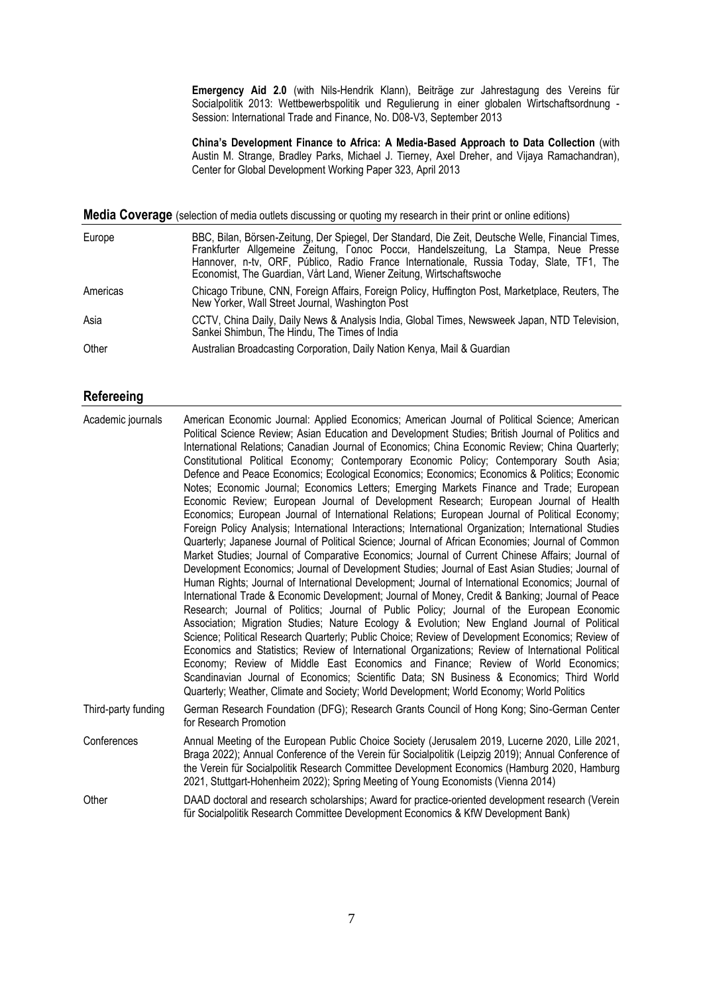**Emergency Aid 2.0** (with Nils-Hendrik Klann), Beiträge zur Jahrestagung des Vereins für Socialpolitik 2013: Wettbewerbspolitik und Regulierung in einer globalen Wirtschaftsordnung - Session: International Trade and Finance, No. D08-V3, September 2013

**China's Development Finance to Africa: A Media-Based Approach to Data Collection** (with Austin M. Strange, Bradley Parks, Michael J. Tierney, Axel Dreher, and Vijaya Ramachandran), Center for Global Development Working Paper 323, April 2013

**Media Coverage** (selection of media outlets discussing or quoting my research in their print or online editions)

| Europe   | BBC, Bilan, Börsen-Zeitung, Der Spiegel, Der Standard, Die Zeit, Deutsche Welle, Financial Times,<br>Frankfurter Allgemeine Zeitung, Голос Росси, Handelszeitung, La Stampa, Neue Presse<br>Hannover, n-tv, ORF, Público, Radio France Internationale, Russia Today, Slate, TF1, The<br>Economist, The Guardian, Vårt Land, Wiener Zeitung, Wirtschaftswoche |
|----------|--------------------------------------------------------------------------------------------------------------------------------------------------------------------------------------------------------------------------------------------------------------------------------------------------------------------------------------------------------------|
| Americas | Chicago Tribune, CNN, Foreign Affairs, Foreign Policy, Huffington Post, Marketplace, Reuters, The<br>New Yorker, Wall Street Journal, Washington Post                                                                                                                                                                                                        |
| Asia     | CCTV, China Daily, Daily News & Analysis India, Global Times, Newsweek Japan, NTD Television,<br>Sankei Shimbun, The Hindu, The Times of India                                                                                                                                                                                                               |
| Other    | Australian Broadcasting Corporation, Daily Nation Kenya, Mail & Guardian                                                                                                                                                                                                                                                                                     |

#### **Refereeing**

| Academic journals   | American Economic Journal: Applied Economics; American Journal of Political Science; American<br>Political Science Review; Asian Education and Development Studies; British Journal of Politics and<br>International Relations; Canadian Journal of Economics; China Economic Review; China Quarterly;<br>Constitutional Political Economy; Contemporary Economic Policy; Contemporary South Asia;<br>Defence and Peace Economics; Ecological Economics; Economics; Economics & Politics; Economic<br>Notes; Economic Journal; Economics Letters; Emerging Markets Finance and Trade; European<br>Economic Review; European Journal of Development Research; European Journal of Health<br>Economics; European Journal of International Relations; European Journal of Political Economy;<br>Foreign Policy Analysis; International Interactions; International Organization; International Studies<br>Quarterly; Japanese Journal of Political Science; Journal of African Economies; Journal of Common<br>Market Studies; Journal of Comparative Economics; Journal of Current Chinese Affairs; Journal of<br>Development Economics; Journal of Development Studies; Journal of East Asian Studies; Journal of<br>Human Rights; Journal of International Development; Journal of International Economics; Journal of<br>International Trade & Economic Development; Journal of Money, Credit & Banking; Journal of Peace<br>Research; Journal of Politics; Journal of Public Policy; Journal of the European Economic<br>Association; Migration Studies; Nature Ecology & Evolution; New England Journal of Political<br>Science; Political Research Quarterly; Public Choice; Review of Development Economics; Review of<br>Economics and Statistics; Review of International Organizations; Review of International Political<br>Economy; Review of Middle East Economics and Finance; Review of World Economics;<br>Scandinavian Journal of Economics; Scientific Data; SN Business & Economics; Third World<br>Quarterly; Weather, Climate and Society; World Development; World Economy; World Politics |
|---------------------|----------------------------------------------------------------------------------------------------------------------------------------------------------------------------------------------------------------------------------------------------------------------------------------------------------------------------------------------------------------------------------------------------------------------------------------------------------------------------------------------------------------------------------------------------------------------------------------------------------------------------------------------------------------------------------------------------------------------------------------------------------------------------------------------------------------------------------------------------------------------------------------------------------------------------------------------------------------------------------------------------------------------------------------------------------------------------------------------------------------------------------------------------------------------------------------------------------------------------------------------------------------------------------------------------------------------------------------------------------------------------------------------------------------------------------------------------------------------------------------------------------------------------------------------------------------------------------------------------------------------------------------------------------------------------------------------------------------------------------------------------------------------------------------------------------------------------------------------------------------------------------------------------------------------------------------------------------------------------------------------------------------------------------------------------------------------------------------------------------------|
| Third-party funding | German Research Foundation (DFG); Research Grants Council of Hong Kong; Sino-German Center<br>for Research Promotion                                                                                                                                                                                                                                                                                                                                                                                                                                                                                                                                                                                                                                                                                                                                                                                                                                                                                                                                                                                                                                                                                                                                                                                                                                                                                                                                                                                                                                                                                                                                                                                                                                                                                                                                                                                                                                                                                                                                                                                           |
| Conferences         | Annual Meeting of the European Public Choice Society (Jerusalem 2019, Lucerne 2020, Lille 2021,<br>Braga 2022); Annual Conference of the Verein für Socialpolitik (Leipzig 2019); Annual Conference of<br>the Verein für Socialpolitik Research Committee Development Economics (Hamburg 2020, Hamburg<br>2021, Stuttgart-Hohenheim 2022); Spring Meeting of Young Economists (Vienna 2014)                                                                                                                                                                                                                                                                                                                                                                                                                                                                                                                                                                                                                                                                                                                                                                                                                                                                                                                                                                                                                                                                                                                                                                                                                                                                                                                                                                                                                                                                                                                                                                                                                                                                                                                    |
| Other               | DAAD doctoral and research scholarships; Award for practice-oriented development research (Verein<br>für Socialpolitik Research Committee Development Economics & KfW Development Bank)                                                                                                                                                                                                                                                                                                                                                                                                                                                                                                                                                                                                                                                                                                                                                                                                                                                                                                                                                                                                                                                                                                                                                                                                                                                                                                                                                                                                                                                                                                                                                                                                                                                                                                                                                                                                                                                                                                                        |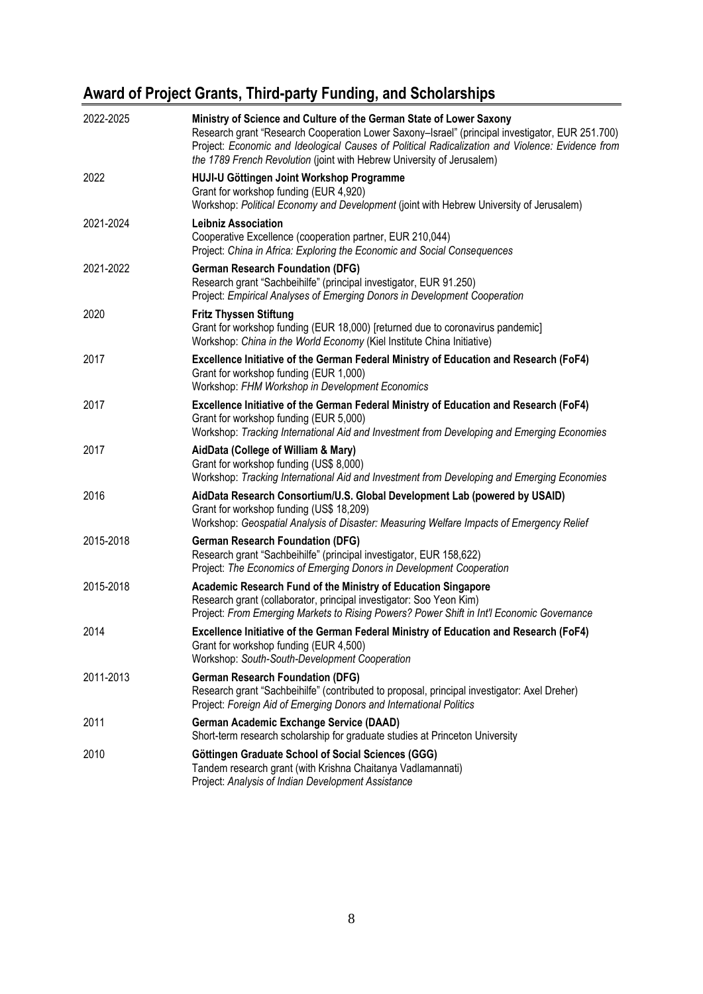# **Award of Project Grants, Third-party Funding, and Scholarships**

| 2022-2025 | Ministry of Science and Culture of the German State of Lower Saxony<br>Research grant "Research Cooperation Lower Saxony-Israel" (principal investigator, EUR 251.700)<br>Project: Economic and Ideological Causes of Political Radicalization and Violence: Evidence from<br>the 1789 French Revolution (joint with Hebrew University of Jerusalem) |
|-----------|------------------------------------------------------------------------------------------------------------------------------------------------------------------------------------------------------------------------------------------------------------------------------------------------------------------------------------------------------|
| 2022      | HUJI-U Göttingen Joint Workshop Programme<br>Grant for workshop funding (EUR 4,920)<br>Workshop: Political Economy and Development (joint with Hebrew University of Jerusalem)                                                                                                                                                                       |
| 2021-2024 | <b>Leibniz Association</b><br>Cooperative Excellence (cooperation partner, EUR 210,044)<br>Project: China in Africa: Exploring the Economic and Social Consequences                                                                                                                                                                                  |
| 2021-2022 | <b>German Research Foundation (DFG)</b><br>Research grant "Sachbeihilfe" (principal investigator, EUR 91.250)<br>Project: Empirical Analyses of Emerging Donors in Development Cooperation                                                                                                                                                           |
| 2020      | <b>Fritz Thyssen Stiftung</b><br>Grant for workshop funding (EUR 18,000) [returned due to coronavirus pandemic]<br>Workshop: China in the World Economy (Kiel Institute China Initiative)                                                                                                                                                            |
| 2017      | Excellence Initiative of the German Federal Ministry of Education and Research (FoF4)<br>Grant for workshop funding (EUR 1,000)<br>Workshop: FHM Workshop in Development Economics                                                                                                                                                                   |
| 2017      | Excellence Initiative of the German Federal Ministry of Education and Research (FoF4)<br>Grant for workshop funding (EUR 5,000)<br>Workshop: Tracking International Aid and Investment from Developing and Emerging Economies                                                                                                                        |
| 2017      | AidData (College of William & Mary)<br>Grant for workshop funding (US\$ 8,000)<br>Workshop: Tracking International Aid and Investment from Developing and Emerging Economies                                                                                                                                                                         |
| 2016      | AidData Research Consortium/U.S. Global Development Lab (powered by USAID)<br>Grant for workshop funding (US\$ 18,209)<br>Workshop: Geospatial Analysis of Disaster: Measuring Welfare Impacts of Emergency Relief                                                                                                                                   |
| 2015-2018 | <b>German Research Foundation (DFG)</b><br>Research grant "Sachbeihilfe" (principal investigator, EUR 158,622)<br>Project: The Economics of Emerging Donors in Development Cooperation                                                                                                                                                               |
| 2015-2018 | Academic Research Fund of the Ministry of Education Singapore<br>Research grant (collaborator, principal investigator: Soo Yeon Kim)<br>Project: From Emerging Markets to Rising Powers? Power Shift in Int'l Economic Governance                                                                                                                    |
| 2014      | Excellence Initiative of the German Federal Ministry of Education and Research (FoF4)<br>Grant for workshop funding (EUR 4,500)<br>Workshop: South-South-Development Cooperation                                                                                                                                                                     |
| 2011-2013 | <b>German Research Foundation (DFG)</b><br>Research grant "Sachbeihilfe" (contributed to proposal, principal investigator: Axel Dreher)<br>Project: Foreign Aid of Emerging Donors and International Politics                                                                                                                                        |
| 2011      | <b>German Academic Exchange Service (DAAD)</b><br>Short-term research scholarship for graduate studies at Princeton University                                                                                                                                                                                                                       |
| 2010      | Göttingen Graduate School of Social Sciences (GGG)<br>Tandem research grant (with Krishna Chaitanya Vadlamannati)<br>Project: Analysis of Indian Development Assistance                                                                                                                                                                              |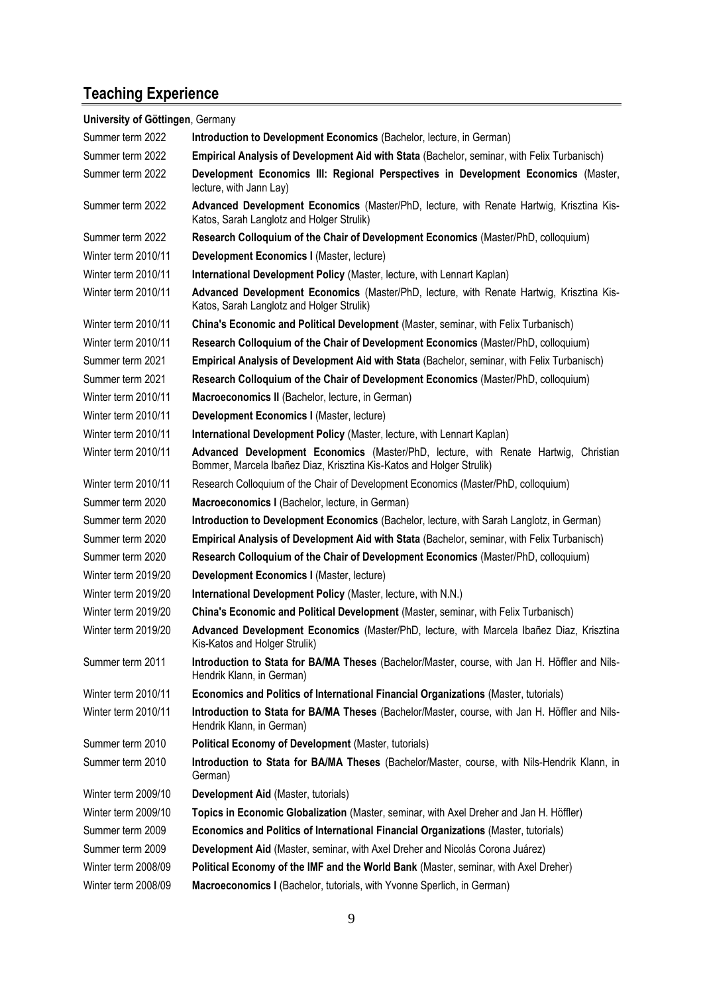# **Teaching Experience**

| University of Göttingen, Germany |                                                                                                                                                             |
|----------------------------------|-------------------------------------------------------------------------------------------------------------------------------------------------------------|
| Summer term 2022                 | Introduction to Development Economics (Bachelor, lecture, in German)                                                                                        |
| Summer term 2022                 | Empirical Analysis of Development Aid with Stata (Bachelor, seminar, with Felix Turbanisch)                                                                 |
| Summer term 2022                 | Development Economics III: Regional Perspectives in Development Economics (Master,<br>lecture, with Jann Lay)                                               |
| Summer term 2022                 | Advanced Development Economics (Master/PhD, lecture, with Renate Hartwig, Krisztina Kis-<br>Katos, Sarah Langlotz and Holger Strulik)                       |
| Summer term 2022                 | Research Colloquium of the Chair of Development Economics (Master/PhD, colloquium)                                                                          |
| Winter term 2010/11              | Development Economics I (Master, lecture)                                                                                                                   |
| Winter term 2010/11              | International Development Policy (Master, lecture, with Lennart Kaplan)                                                                                     |
| Winter term 2010/11              | Advanced Development Economics (Master/PhD, lecture, with Renate Hartwig, Krisztina Kis-<br>Katos, Sarah Langlotz and Holger Strulik)                       |
| Winter term 2010/11              | China's Economic and Political Development (Master, seminar, with Felix Turbanisch)                                                                         |
| Winter term 2010/11              | Research Colloquium of the Chair of Development Economics (Master/PhD, colloquium)                                                                          |
| Summer term 2021                 | Empirical Analysis of Development Aid with Stata (Bachelor, seminar, with Felix Turbanisch)                                                                 |
| Summer term 2021                 | Research Colloquium of the Chair of Development Economics (Master/PhD, colloquium)                                                                          |
| Winter term 2010/11              | Macroeconomics II (Bachelor, lecture, in German)                                                                                                            |
| Winter term 2010/11              | Development Economics I (Master, lecture)                                                                                                                   |
| Winter term 2010/11              | International Development Policy (Master, lecture, with Lennart Kaplan)                                                                                     |
| Winter term 2010/11              | Advanced Development Economics (Master/PhD, lecture, with Renate Hartwig, Christian<br>Bommer, Marcela Ibañez Diaz, Krisztina Kis-Katos and Holger Strulik) |
| Winter term 2010/11              | Research Colloquium of the Chair of Development Economics (Master/PhD, colloquium)                                                                          |
| Summer term 2020                 | Macroeconomics I (Bachelor, lecture, in German)                                                                                                             |
| Summer term 2020                 | Introduction to Development Economics (Bachelor, lecture, with Sarah Langlotz, in German)                                                                   |
| Summer term 2020                 | Empirical Analysis of Development Aid with Stata (Bachelor, seminar, with Felix Turbanisch)                                                                 |
| Summer term 2020                 | Research Colloquium of the Chair of Development Economics (Master/PhD, colloquium)                                                                          |
| Winter term 2019/20              | Development Economics I (Master, lecture)                                                                                                                   |
| Winter term 2019/20              | International Development Policy (Master, lecture, with N.N.)                                                                                               |
| Winter term 2019/20              | China's Economic and Political Development (Master, seminar, with Felix Turbanisch)                                                                         |
| Winter term 2019/20              | Advanced Development Economics (Master/PhD, lecture, with Marcela Ibañez Diaz, Krisztina<br>Kis-Katos and Holger Strulik)                                   |
| Summer term 2011                 | Introduction to Stata for BA/MA Theses (Bachelor/Master, course, with Jan H. Höffler and Nils-<br>Hendrik Klann, in German)                                 |
| Winter term 2010/11              | Economics and Politics of International Financial Organizations (Master, tutorials)                                                                         |
| Winter term 2010/11              | Introduction to Stata for BA/MA Theses (Bachelor/Master, course, with Jan H. Höffler and Nils-<br>Hendrik Klann, in German)                                 |
| Summer term 2010                 | <b>Political Economy of Development (Master, tutorials)</b>                                                                                                 |
| Summer term 2010                 | Introduction to Stata for BA/MA Theses (Bachelor/Master, course, with Nils-Hendrik Klann, in<br>German)                                                     |
| Winter term 2009/10              | Development Aid (Master, tutorials)                                                                                                                         |
| Winter term 2009/10              | Topics in Economic Globalization (Master, seminar, with Axel Dreher and Jan H. Höffler)                                                                     |
| Summer term 2009                 | Economics and Politics of International Financial Organizations (Master, tutorials)                                                                         |
| Summer term 2009                 | Development Aid (Master, seminar, with Axel Dreher and Nicolás Corona Juárez)                                                                               |
| Winter term 2008/09              | Political Economy of the IMF and the World Bank (Master, seminar, with Axel Dreher)                                                                         |
| Winter term 2008/09              | Macroeconomics I (Bachelor, tutorials, with Yvonne Sperlich, in German)                                                                                     |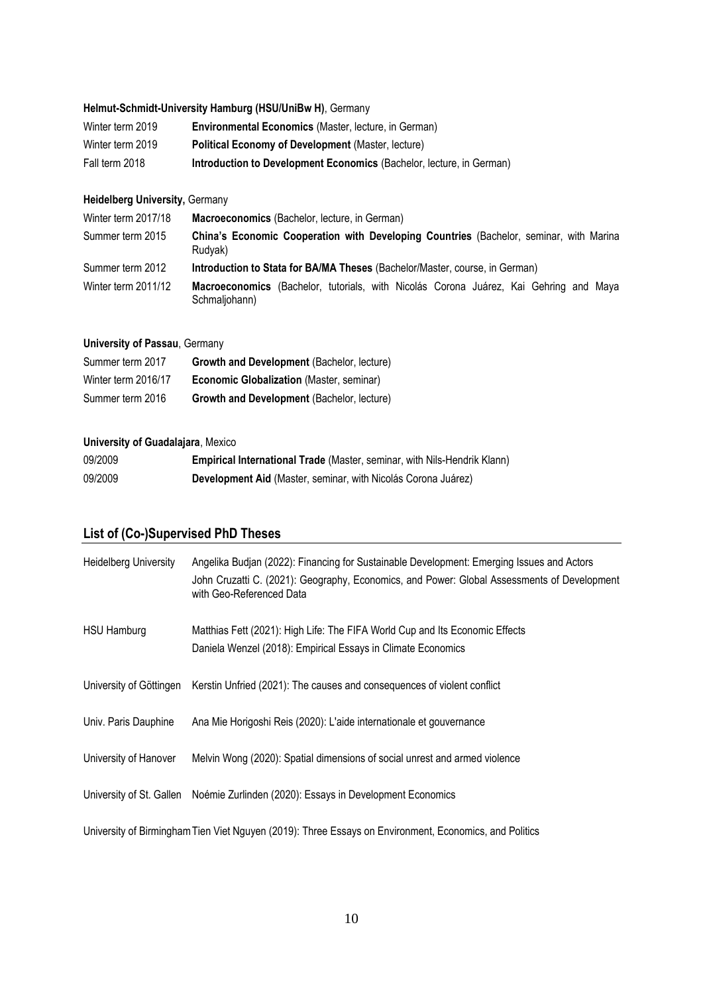#### **Helmut-Schmidt-University Hamburg (HSU/UniBw H)**, Germany

| Winter term 2019 | <b>Environmental Economics (Master, lecture, in German)</b>          |
|------------------|----------------------------------------------------------------------|
| Winter term 2019 | Political Economy of Development (Master, lecture)                   |
| Fall term 2018   | Introduction to Development Economics (Bachelor, lecture, in German) |

#### **Heidelberg University,** Germany

| Winter term 2017/18 | Macroeconomics (Bachelor, lecture, in German)                                                            |
|---------------------|----------------------------------------------------------------------------------------------------------|
| Summer term 2015    | <b>China's Economic Cooperation with Developing Countries (Bachelor, seminar, with Marina</b><br>Rudyak) |
| Summer term 2012    | Introduction to Stata for BA/MA Theses (Bachelor/Master, course, in German)                              |
| Winter term 2011/12 | Macroeconomics (Bachelor, tutorials, with Nicolás Corona Juárez, Kai Gehring and Maya<br>Schmaljohann)   |

#### **University of Passau**, Germany

| Summer term 2017    | Growth and Development (Bachelor, lecture) |
|---------------------|--------------------------------------------|
| Winter term 2016/17 | Economic Globalization (Master, seminar)   |
| Summer term 2016    | Growth and Development (Bachelor, lecture) |

#### **University of Guadalajara**, Mexico

| 09/2009 | Empirical International Trade (Master, seminar, with Nils-Hendrik Klann) |
|---------|--------------------------------------------------------------------------|
| 09/2009 | Development Aid (Master, seminar, with Nicolás Corona Juárez)            |

### **List of (Co-)Supervised PhD Theses**

| <b>Heidelberg University</b> | Angelika Budjan (2022): Financing for Sustainable Development: Emerging Issues and Actors<br>John Cruzatti C. (2021): Geography, Economics, and Power: Global Assessments of Development<br>with Geo-Referenced Data |
|------------------------------|----------------------------------------------------------------------------------------------------------------------------------------------------------------------------------------------------------------------|
| <b>HSU Hamburg</b>           | Matthias Fett (2021): High Life: The FIFA World Cup and Its Economic Effects<br>Daniela Wenzel (2018): Empirical Essays in Climate Economics                                                                         |
|                              | University of Göttingen Kerstin Unfried (2021): The causes and consequences of violent conflict                                                                                                                      |
| Univ. Paris Dauphine         | Ana Mie Horigoshi Reis (2020): L'aide internationale et gouvernance                                                                                                                                                  |
| University of Hanover        | Melvin Wong (2020): Spatial dimensions of social unrest and armed violence                                                                                                                                           |
|                              | University of St. Gallen Noémie Zurlinden (2020): Essays in Development Economics                                                                                                                                    |
|                              | University of Birmingham Tien Viet Nguyen (2019): Three Essays on Environment, Economics, and Politics                                                                                                               |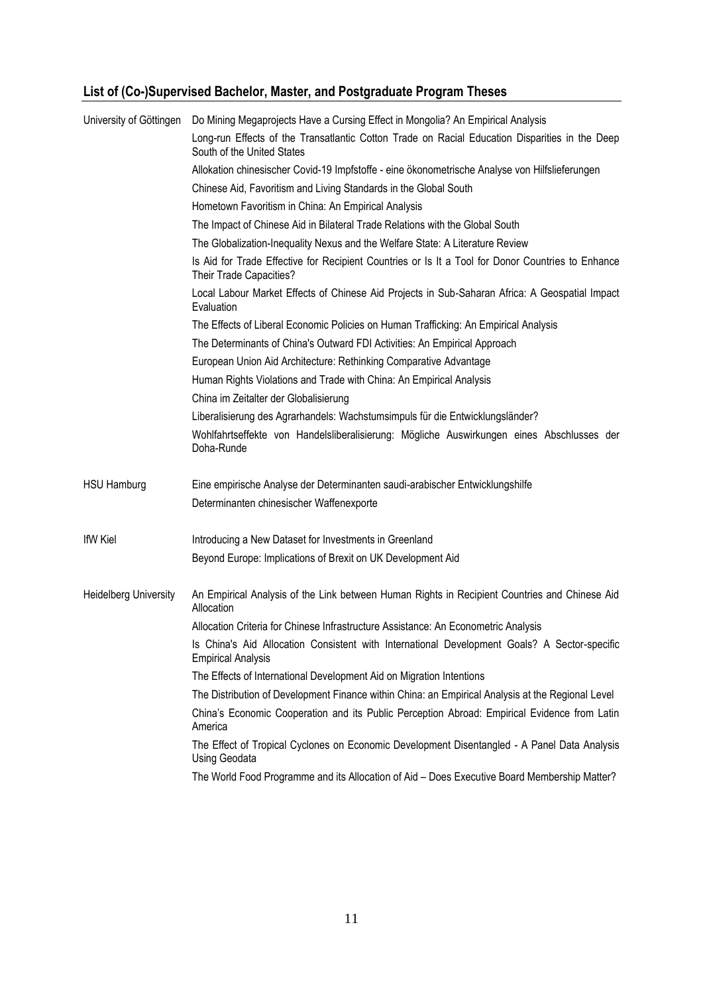# **List of (Co-)Supervised Bachelor, Master, and Postgraduate Program Theses**

| University of Göttingen      | Do Mining Megaprojects Have a Cursing Effect in Mongolia? An Empirical Analysis                                              |
|------------------------------|------------------------------------------------------------------------------------------------------------------------------|
|                              | Long-run Effects of the Transatlantic Cotton Trade on Racial Education Disparities in the Deep<br>South of the United States |
|                              | Allokation chinesischer Covid-19 Impfstoffe - eine ökonometrische Analyse von Hilfslieferungen                               |
|                              | Chinese Aid, Favoritism and Living Standards in the Global South                                                             |
|                              | Hometown Favoritism in China: An Empirical Analysis                                                                          |
|                              | The Impact of Chinese Aid in Bilateral Trade Relations with the Global South                                                 |
|                              | The Globalization-Inequality Nexus and the Welfare State: A Literature Review                                                |
|                              | Is Aid for Trade Effective for Recipient Countries or Is It a Tool for Donor Countries to Enhance<br>Their Trade Capacities? |
|                              | Local Labour Market Effects of Chinese Aid Projects in Sub-Saharan Africa: A Geospatial Impact<br>Evaluation                 |
|                              | The Effects of Liberal Economic Policies on Human Trafficking: An Empirical Analysis                                         |
|                              | The Determinants of China's Outward FDI Activities: An Empirical Approach                                                    |
|                              | European Union Aid Architecture: Rethinking Comparative Advantage                                                            |
|                              | Human Rights Violations and Trade with China: An Empirical Analysis                                                          |
|                              | China im Zeitalter der Globalisierung                                                                                        |
|                              | Liberalisierung des Agrarhandels: Wachstumsimpuls für die Entwicklungsländer?                                                |
|                              | Wohlfahrtseffekte von Handelsliberalisierung: Mögliche Auswirkungen eines Abschlusses der<br>Doha-Runde                      |
| <b>HSU Hamburg</b>           | Eine empirische Analyse der Determinanten saudi-arabischer Entwicklungshilfe                                                 |
|                              | Determinanten chinesischer Waffenexporte                                                                                     |
| <b>IfW Kiel</b>              | Introducing a New Dataset for Investments in Greenland                                                                       |
|                              | Beyond Europe: Implications of Brexit on UK Development Aid                                                                  |
| <b>Heidelberg University</b> | An Empirical Analysis of the Link between Human Rights in Recipient Countries and Chinese Aid<br>Allocation                  |
|                              | Allocation Criteria for Chinese Infrastructure Assistance: An Econometric Analysis                                           |
|                              | Is China's Aid Allocation Consistent with International Development Goals? A Sector-specific<br><b>Empirical Analysis</b>    |
|                              | The Effects of International Development Aid on Migration Intentions                                                         |
|                              | The Distribution of Development Finance within China: an Empirical Analysis at the Regional Level                            |
|                              | China's Economic Cooperation and its Public Perception Abroad: Empirical Evidence from Latin<br>America                      |
|                              | The Effect of Tropical Cyclones on Economic Development Disentangled - A Panel Data Analysis<br><b>Using Geodata</b>         |
|                              | The World Food Programme and its Allocation of Aid - Does Executive Board Membership Matter?                                 |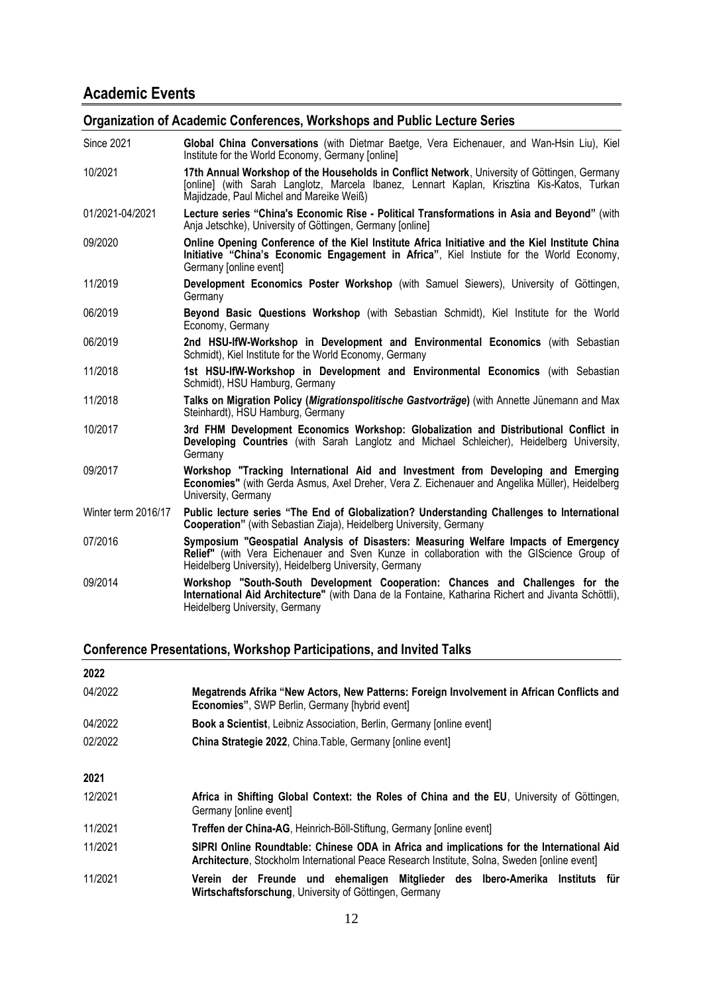## **Academic Events**

#### **Organization of Academic Conferences, Workshops and Public Lecture Series**

| <b>Since 2021</b>   | Global China Conversations (with Dietmar Baetge, Vera Eichenauer, and Wan-Hsin Liu), Kiel<br>Institute for the World Economy, Germany [online]                                                                                             |
|---------------------|--------------------------------------------------------------------------------------------------------------------------------------------------------------------------------------------------------------------------------------------|
| 10/2021             | 17th Annual Workshop of the Households in Conflict Network, University of Göttingen, Germany<br>[online] (with Sarah Langlotz, Marcela Ibanez, Lennart Kaplan, Krisztina Kis-Katos, Turkan<br>Majidzade, Paul Michel and Mareike Weiß)     |
| 01/2021-04/2021     | Lecture series "China's Economic Rise - Political Transformations in Asia and Beyond" (with<br>Anja Jetschke), University of Göttingen, Germany [online]                                                                                   |
| 09/2020             | Online Opening Conference of the Kiel Institute Africa Initiative and the Kiel Institute China<br>Initiative "China's Economic Engagement in Africa", Kiel Instiute for the World Economy,<br>Germany [online event]                       |
| 11/2019             | Development Economics Poster Workshop (with Samuel Siewers), University of Göttingen,<br>Germany                                                                                                                                           |
| 06/2019             | Beyond Basic Questions Workshop (with Sebastian Schmidt), Kiel Institute for the World<br>Economy, Germany                                                                                                                                 |
| 06/2019             | 2nd HSU-IfW-Workshop in Development and Environmental Economics (with Sebastian<br>Schmidt), Kiel Institute for the World Economy, Germany                                                                                                 |
| 11/2018             | 1st HSU-IfW-Workshop in Development and Environmental Economics (with Sebastian<br>Schmidt), HSU Hamburg, Germany                                                                                                                          |
| 11/2018             | Talks on Migration Policy (Migrationspolitische Gastvorträge) (with Annette Jünemann and Max<br>Steinhardt), HSU Hamburg, Germany                                                                                                          |
| 10/2017             | 3rd FHM Development Economics Workshop: Globalization and Distributional Conflict in<br>Developing Countries (with Sarah Langlotz and Michael Schleicher), Heidelberg University,<br>Germany                                               |
| 09/2017             | Workshop "Tracking International Aid and Investment from Developing and Emerging<br>Economies" (with Gerda Asmus, Axel Dreher, Vera Z. Eichenauer and Angelika Müller), Heidelberg<br>University, Germany                                  |
| Winter term 2016/17 | Public lecture series "The End of Globalization? Understanding Challenges to International<br>Cooperation" (with Sebastian Ziaja), Heidelberg University, Germany                                                                          |
| 07/2016             | Symposium "Geospatial Analysis of Disasters: Measuring Welfare Impacts of Emergency<br>Relief" (with Vera Eichenauer and Sven Kunze in collaboration with the GIScience Group of<br>Heidelberg University), Heidelberg University, Germany |
| 09/2014             | Workshop "South-South Development Cooperation: Chances and Challenges for the<br>International Aid Architecture" (with Dana de la Fontaine, Katharina Richert and Jivanta Schöttli),<br>Heidelberg University, Germany                     |

#### **Conference Presentations, Workshop Participations, and Invited Talks**

| 2022    |                                                                                                                                                                                           |
|---------|-------------------------------------------------------------------------------------------------------------------------------------------------------------------------------------------|
| 04/2022 | Megatrends Afrika "New Actors, New Patterns: Foreign Involvement in African Conflicts and<br><b>Economies", SWP Berlin, Germany [hybrid event]</b>                                        |
| 04/2022 | <b>Book a Scientist</b> , Leibniz Association, Berlin, Germany Jonline event                                                                                                              |
| 02/2022 | China Strategie 2022, China. Table, Germany Jonline event]                                                                                                                                |
| 2021    |                                                                                                                                                                                           |
| 12/2021 | Africa in Shifting Global Context: the Roles of China and the EU, University of Göttingen,<br>Germany [online event]                                                                      |
| 11/2021 | Treffen der China-AG, Heinrich-Böll-Stiftung, Germany Jonline event]                                                                                                                      |
| 11/2021 | SIPRI Online Roundtable: Chinese ODA in Africa and implications for the International Aid<br>Architecture, Stockholm International Peace Research Institute, Solna, Sweden [online event] |
| 11/2021 | Verein der Freunde und ehemaligen Mitglieder des Ibero-Amerika Instituts für<br>Wirtschaftsforschung, University of Göttingen, Germany                                                    |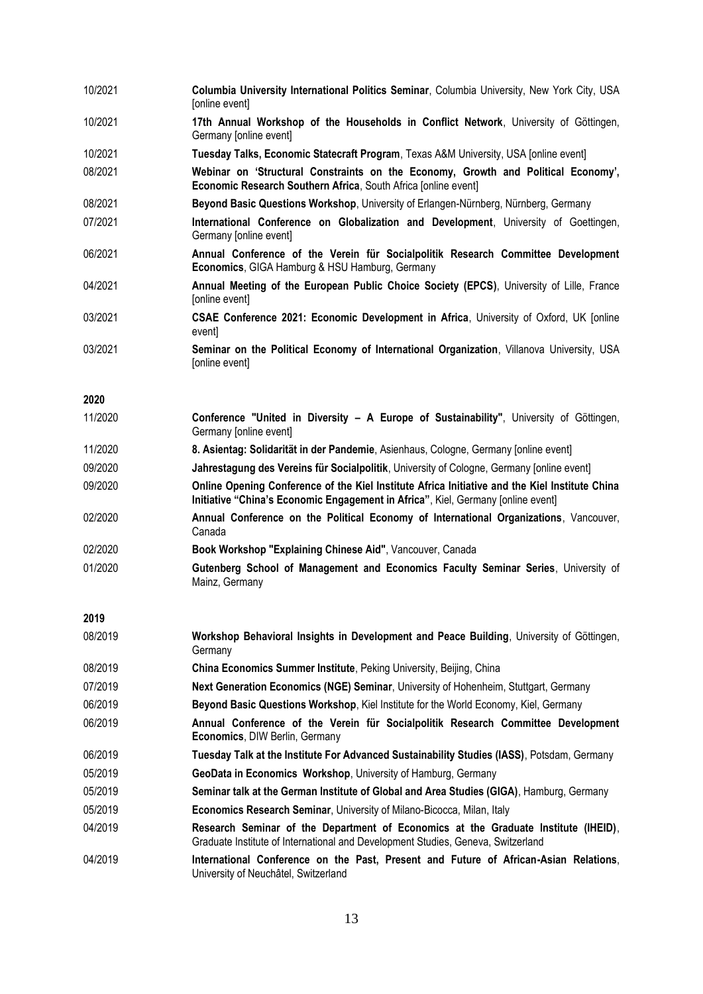| 10/2021 | Columbia University International Politics Seminar, Columbia University, New York City, USA<br>[online event]                                                                      |
|---------|------------------------------------------------------------------------------------------------------------------------------------------------------------------------------------|
| 10/2021 | 17th Annual Workshop of the Households in Conflict Network, University of Göttingen,<br>Germany [online event]                                                                     |
| 10/2021 | Tuesday Talks, Economic Statecraft Program, Texas A&M University, USA [online event]                                                                                               |
| 08/2021 | Webinar on 'Structural Constraints on the Economy, Growth and Political Economy',<br>Economic Research Southern Africa, South Africa [online event]                                |
| 08/2021 | Beyond Basic Questions Workshop, University of Erlangen-Nürnberg, Nürnberg, Germany                                                                                                |
| 07/2021 | International Conference on Globalization and Development, University of Goettingen,<br>Germany [online event]                                                                     |
| 06/2021 | Annual Conference of the Verein für Socialpolitik Research Committee Development<br>Economics, GIGA Hamburg & HSU Hamburg, Germany                                                 |
| 04/2021 | Annual Meeting of the European Public Choice Society (EPCS), University of Lille, France<br>[online event]                                                                         |
| 03/2021 | CSAE Conference 2021: Economic Development in Africa, University of Oxford, UK [online<br>event]                                                                                   |
| 03/2021 | Seminar on the Political Economy of International Organization, Villanova University, USA<br>[online event]                                                                        |
| 2020    |                                                                                                                                                                                    |
| 11/2020 | Conference "United in Diversity - A Europe of Sustainability", University of Göttingen,<br>Germany [online event]                                                                  |
| 11/2020 | 8. Asientag: Solidarität in der Pandemie, Asienhaus, Cologne, Germany Jonline event]                                                                                               |
| 09/2020 | Jahrestagung des Vereins für Socialpolitik, University of Cologne, Germany [online event]                                                                                          |
| 09/2020 | Online Opening Conference of the Kiel Institute Africa Initiative and the Kiel Institute China<br>Initiative "China's Economic Engagement in Africa", Kiel, Germany Jonline event] |
| 02/2020 | Annual Conference on the Political Economy of International Organizations, Vancouver,<br>Canada                                                                                    |
| 02/2020 | Book Workshop "Explaining Chinese Aid", Vancouver, Canada                                                                                                                          |
| 01/2020 | Gutenberg School of Management and Economics Faculty Seminar Series, University of<br>Mainz, Germany                                                                               |
| 2019    |                                                                                                                                                                                    |
| 08/2019 | Workshop Behavioral Insights in Development and Peace Building, University of Göttingen,<br>Germany                                                                                |
| 08/2019 | China Economics Summer Institute, Peking University, Beijing, China                                                                                                                |
| 07/2019 | Next Generation Economics (NGE) Seminar, University of Hohenheim, Stuttgart, Germany                                                                                               |
| 06/2019 | Beyond Basic Questions Workshop, Kiel Institute for the World Economy, Kiel, Germany                                                                                               |
| 06/2019 | Annual Conference of the Verein für Socialpolitik Research Committee Development<br>Economics, DIW Berlin, Germany                                                                 |
| 06/2019 | Tuesday Talk at the Institute For Advanced Sustainability Studies (IASS), Potsdam, Germany                                                                                         |
| 05/2019 | GeoData in Economics Workshop, University of Hamburg, Germany                                                                                                                      |
| 05/2019 | Seminar talk at the German Institute of Global and Area Studies (GIGA), Hamburg, Germany                                                                                           |
| 05/2019 | Economics Research Seminar, University of Milano-Bicocca, Milan, Italy                                                                                                             |
| 04/2019 | Research Seminar of the Department of Economics at the Graduate Institute (IHEID),<br>Graduate Institute of International and Development Studies, Geneva, Switzerland             |
| 04/2019 | International Conference on the Past, Present and Future of African-Asian Relations,<br>University of Neuchâtel, Switzerland                                                       |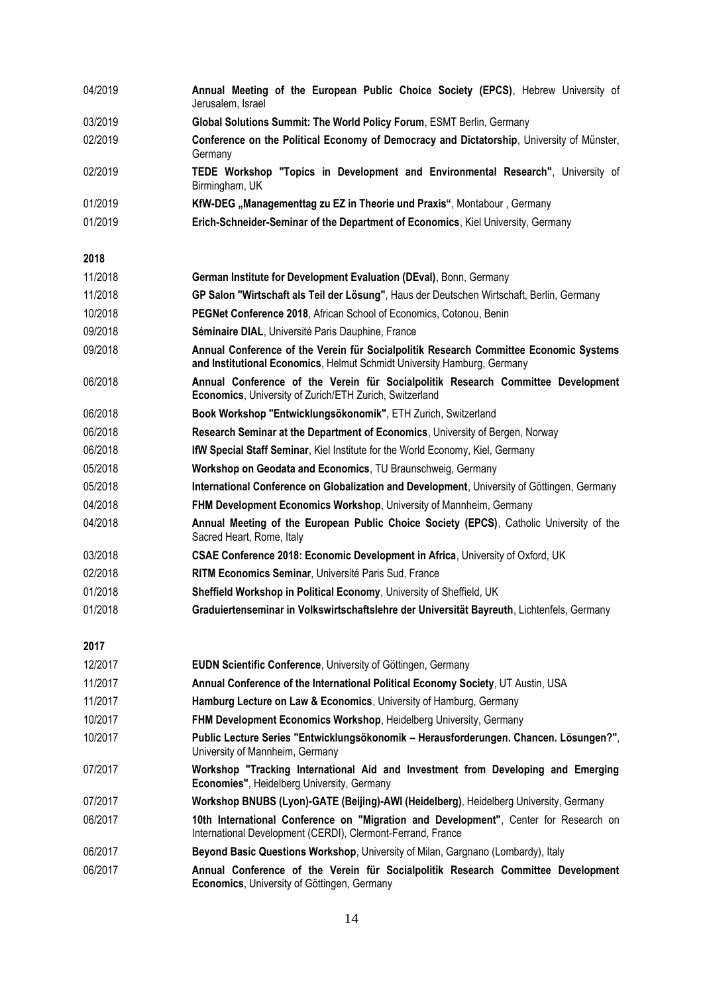| 04/2019 | Annual Meeting of the European Public Choice Society (EPCS), Hebrew University of<br>Jerusalem, Israel                                                           |  |  |  |  |  |
|---------|------------------------------------------------------------------------------------------------------------------------------------------------------------------|--|--|--|--|--|
| 03/2019 | Global Solutions Summit: The World Policy Forum, ESMT Berlin, Germany                                                                                            |  |  |  |  |  |
| 02/2019 | Conference on the Political Economy of Democracy and Dictatorship, University of Münster,<br>Germany                                                             |  |  |  |  |  |
| 02/2019 | TEDE Workshop "Topics in Development and Environmental Research", University of<br>Birmingham, UK                                                                |  |  |  |  |  |
| 01/2019 | KfW-DEG "Managementtag zu EZ in Theorie und Praxis", Montabour, Germany                                                                                          |  |  |  |  |  |
| 01/2019 | Erich-Schneider-Seminar of the Department of Economics, Kiel University, Germany                                                                                 |  |  |  |  |  |
| 2018    |                                                                                                                                                                  |  |  |  |  |  |
| 11/2018 | German Institute for Development Evaluation (DEval), Bonn, Germany                                                                                               |  |  |  |  |  |
| 11/2018 | GP Salon "Wirtschaft als Teil der Lösung", Haus der Deutschen Wirtschaft, Berlin, Germany                                                                        |  |  |  |  |  |
| 10/2018 | PEGNet Conference 2018, African School of Economics, Cotonou, Benin                                                                                              |  |  |  |  |  |
| 09/2018 | Séminaire DIAL, Université Paris Dauphine, France                                                                                                                |  |  |  |  |  |
| 09/2018 | Annual Conference of the Verein für Socialpolitik Research Committee Economic Systems<br>and Institutional Economics, Helmut Schmidt University Hamburg, Germany |  |  |  |  |  |
| 06/2018 | Annual Conference of the Verein für Socialpolitik Research Committee Development<br>Economics, University of Zurich/ETH Zurich, Switzerland                      |  |  |  |  |  |
| 06/2018 | Book Workshop "Entwicklungsökonomik", ETH Zurich, Switzerland                                                                                                    |  |  |  |  |  |
| 06/2018 | Research Seminar at the Department of Economics, University of Bergen, Norway                                                                                    |  |  |  |  |  |
| 06/2018 | <b>IfW Special Staff Seminar, Kiel Institute for the World Economy, Kiel, Germany</b>                                                                            |  |  |  |  |  |
| 05/2018 | Workshop on Geodata and Economics, TU Braunschweig, Germany                                                                                                      |  |  |  |  |  |
| 05/2018 | International Conference on Globalization and Development, University of Göttingen, Germany                                                                      |  |  |  |  |  |
| 04/2018 | FHM Development Economics Workshop, University of Mannheim, Germany                                                                                              |  |  |  |  |  |
| 04/2018 | Annual Meeting of the European Public Choice Society (EPCS), Catholic University of the<br>Sacred Heart, Rome, Italy                                             |  |  |  |  |  |
| 03/2018 | CSAE Conference 2018: Economic Development in Africa, University of Oxford, UK                                                                                   |  |  |  |  |  |
| 02/2018 | RITM Economics Seminar, Université Paris Sud, France                                                                                                             |  |  |  |  |  |
| 01/2018 | Sheffield Workshop in Political Economy, University of Sheffield, UK                                                                                             |  |  |  |  |  |
| 01/2018 | Graduiertenseminar in Volkswirtschaftslehre der Universität Bayreuth, Lichtenfels, Germany                                                                       |  |  |  |  |  |
| 2017    |                                                                                                                                                                  |  |  |  |  |  |
| 12/2017 | EUDN Scientific Conference, University of Göttingen, Germany                                                                                                     |  |  |  |  |  |
| 11/2017 | Annual Conference of the International Political Economy Society, UT Austin, USA                                                                                 |  |  |  |  |  |
| 11/2017 | Hamburg Lecture on Law & Economics, University of Hamburg, Germany                                                                                               |  |  |  |  |  |
| 10/2017 | FHM Development Economics Workshop, Heidelberg University, Germany                                                                                               |  |  |  |  |  |
| 10/2017 | Public Lecture Series "Entwicklungsökonomik - Herausforderungen. Chancen. Lösungen?",<br>University of Mannheim, Germany                                         |  |  |  |  |  |
| 07/2017 | Workshop "Tracking International Aid and Investment from Developing and Emerging<br>Economies", Heidelberg University, Germany                                   |  |  |  |  |  |
| 07/2017 | Workshop BNUBS (Lyon)-GATE (Beijing)-AWI (Heidelberg), Heidelberg University, Germany                                                                            |  |  |  |  |  |
| 06/2017 | 10th International Conference on "Migration and Development", Center for Research on<br>International Development (CERDI), Clermont-Ferrand, France              |  |  |  |  |  |
| 06/2017 | Beyond Basic Questions Workshop, University of Milan, Gargnano (Lombardy), Italy                                                                                 |  |  |  |  |  |

06/2017 **Annual Conference of the Verein für Socialpolitik Research Committee Development Economics**, University of Göttingen, Germany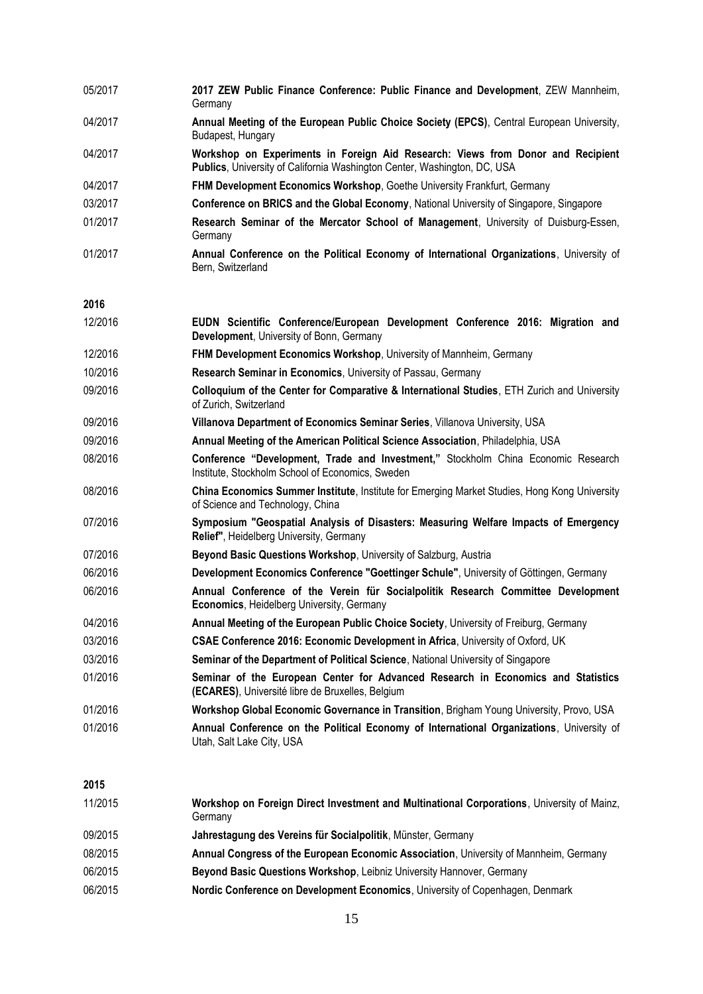| 05/2017 | 2017 ZEW Public Finance Conference: Public Finance and Development, ZEW Mannheim,<br>Germany                                                                |
|---------|-------------------------------------------------------------------------------------------------------------------------------------------------------------|
| 04/2017 | Annual Meeting of the European Public Choice Society (EPCS), Central European University,<br>Budapest, Hungary                                              |
| 04/2017 | Workshop on Experiments in Foreign Aid Research: Views from Donor and Recipient<br>Publics, University of California Washington Center, Washington, DC, USA |
| 04/2017 | FHM Development Economics Workshop, Goethe University Frankfurt, Germany                                                                                    |
| 03/2017 | Conference on BRICS and the Global Economy, National University of Singapore, Singapore                                                                     |
| 01/2017 | Research Seminar of the Mercator School of Management, University of Duisburg-Essen,<br>Germany                                                             |
| 01/2017 | Annual Conference on the Political Economy of International Organizations, University of<br>Bern, Switzerland                                               |
| 2016    |                                                                                                                                                             |
| 12/2016 | EUDN Scientific Conference/European Development Conference 2016: Migration and<br>Development, University of Bonn, Germany                                  |
| 12/2016 | FHM Development Economics Workshop, University of Mannheim, Germany                                                                                         |
| 10/2016 | Research Seminar in Economics, University of Passau, Germany                                                                                                |
| 09/2016 | Colloquium of the Center for Comparative & International Studies, ETH Zurich and University<br>of Zurich, Switzerland                                       |
| 09/2016 | Villanova Department of Economics Seminar Series, Villanova University, USA                                                                                 |
| 09/2016 | Annual Meeting of the American Political Science Association, Philadelphia, USA                                                                             |
| 08/2016 | Conference "Development, Trade and Investment," Stockholm China Economic Research<br>Institute, Stockholm School of Economics, Sweden                       |
| 08/2016 | China Economics Summer Institute, Institute for Emerging Market Studies, Hong Kong University<br>of Science and Technology, China                           |
| 07/2016 | Symposium "Geospatial Analysis of Disasters: Measuring Welfare Impacts of Emergency<br>Relief", Heidelberg University, Germany                              |
| 07/2016 | Beyond Basic Questions Workshop, University of Salzburg, Austria                                                                                            |
| 06/2016 | Development Economics Conference "Goettinger Schule", University of Göttingen, Germany                                                                      |
| 06/2016 | Annual Conference of the Verein für Socialpolitik Research Committee Development<br>Economics, Heidelberg University, Germany                               |
| 04/2016 | Annual Meeting of the European Public Choice Society, University of Freiburg, Germany                                                                       |
| 03/2016 | CSAE Conference 2016: Economic Development in Africa, University of Oxford, UK                                                                              |
| 03/2016 | Seminar of the Department of Political Science, National University of Singapore                                                                            |
| 01/2016 | Seminar of the European Center for Advanced Research in Economics and Statistics<br>(ECARES), Université libre de Bruxelles, Belgium                        |
| 01/2016 | Workshop Global Economic Governance in Transition, Brigham Young University, Provo, USA                                                                     |
| 01/2016 | Annual Conference on the Political Economy of International Organizations, University of<br>Utah, Salt Lake City, USA                                       |
| 2015    |                                                                                                                                                             |
| 11/2015 | Workshop on Foreign Direct Investment and Multinational Corporations, University of Mainz,<br>Germany                                                       |
| 09/2015 | Jahrestagung des Vereins für Socialpolitik, Münster, Germany                                                                                                |
| 08/2015 | Annual Congress of the European Economic Association, University of Mannheim, Germany                                                                       |
| 06/2015 | Beyond Basic Questions Workshop, Leibniz University Hannover, Germany                                                                                       |
| 06/2015 | Nordic Conference on Development Economics, University of Copenhagen, Denmark                                                                               |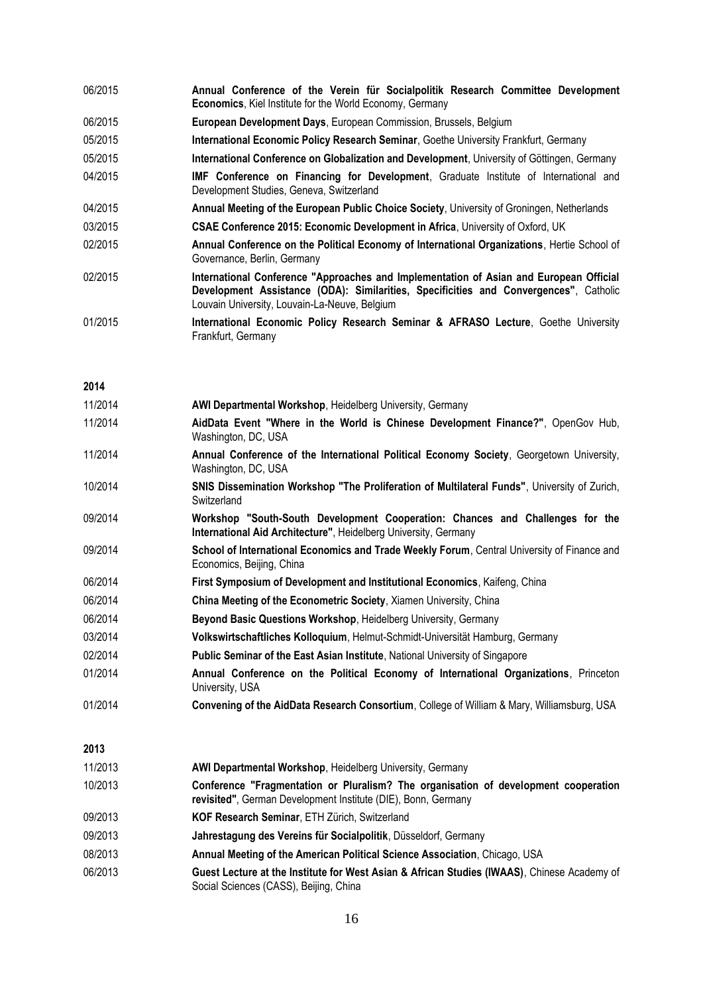| 06/2015 |                                                                 |  |  |  |  |  |  |  |  | Annual Conference of the Verein für Socialpolitik Research Committee Development |
|---------|-----------------------------------------------------------------|--|--|--|--|--|--|--|--|----------------------------------------------------------------------------------|
|         | <b>Economics, Kiel Institute for the World Economy, Germany</b> |  |  |  |  |  |  |  |  |                                                                                  |

- 06/2015 **European Development Days**, European Commission, Brussels, Belgium
- 05/2015 **International Economic Policy Research Seminar**, Goethe University Frankfurt, Germany
- 05/2015 **International Conference on Globalization and Development**, University of Göttingen, Germany
- 04/2015 **IMF Conference on Financing for Development**, Graduate Institute of International and Development Studies, Geneva, Switzerland
- 04/2015 **Annual Meeting of the European Public Choice Society**, University of Groningen, Netherlands
- 03/2015 **CSAE Conference 2015: Economic Development in Africa**, University of Oxford, UK
- 02/2015 **Annual Conference on the Political Economy of International Organizations**, Hertie School of Governance, Berlin, Germany
- 02/2015 **International Conference "Approaches and Implementation of Asian and European Official Development Assistance (ODA): Similarities, Specificities and Convergences"**, Catholic Louvain University, Louvain-La-Neuve, Belgium
- 01/2015 **International Economic Policy Research Seminar & AFRASO Lecture**, Goethe University Frankfurt, Germany

#### **2014**

| 11/2014 | AWI Departmental Workshop, Heidelberg University, Germany                                                                                            |
|---------|------------------------------------------------------------------------------------------------------------------------------------------------------|
| 11/2014 | AidData Event "Where in the World is Chinese Development Finance?", OpenGov Hub,<br>Washington, DC, USA                                              |
| 11/2014 | Annual Conference of the International Political Economy Society, Georgetown University,<br>Washington, DC, USA                                      |
| 10/2014 | SNIS Dissemination Workshop "The Proliferation of Multilateral Funds", University of Zurich,<br>Switzerland                                          |
| 09/2014 | Workshop "South-South Development Cooperation: Chances and Challenges for the<br>International Aid Architecture", Heidelberg University, Germany     |
| 09/2014 | School of International Economics and Trade Weekly Forum, Central University of Finance and<br>Economics, Beijing, China                             |
| 06/2014 | First Symposium of Development and Institutional Economics, Kaifeng, China                                                                           |
| 06/2014 | China Meeting of the Econometric Society, Xiamen University, China                                                                                   |
| 06/2014 | Beyond Basic Questions Workshop, Heidelberg University, Germany                                                                                      |
| 03/2014 | Volkswirtschaftliches Kolloquium, Helmut-Schmidt-Universität Hamburg, Germany                                                                        |
| 02/2014 | Public Seminar of the East Asian Institute, National University of Singapore                                                                         |
| 01/2014 | Annual Conference on the Political Economy of International Organizations, Princeton<br>University, USA                                              |
| 01/2014 | Convening of the AidData Research Consortium, College of William & Mary, Williamsburg, USA                                                           |
| 2013    |                                                                                                                                                      |
| 11/2013 | AWI Departmental Workshop, Heidelberg University, Germany                                                                                            |
| 10/2013 | Conference "Fragmentation or Pluralism? The organisation of development cooperation<br>revisited", German Development Institute (DIE), Bonn, Germany |
| 09/2013 | KOF Research Seminar, ETH Zürich, Switzerland                                                                                                        |
| 09/2013 | Jahrestagung des Vereins für Socialpolitik, Düsseldorf, Germany                                                                                      |
| 08/2013 | Annual Meeting of the American Political Science Association, Chicago, USA                                                                           |
| 06/2013 | Guest Lecture at the Institute for West Asian & African Studies (IWAAS), Chinese Academy of<br>Social Sciences (CASS), Beijing, China                |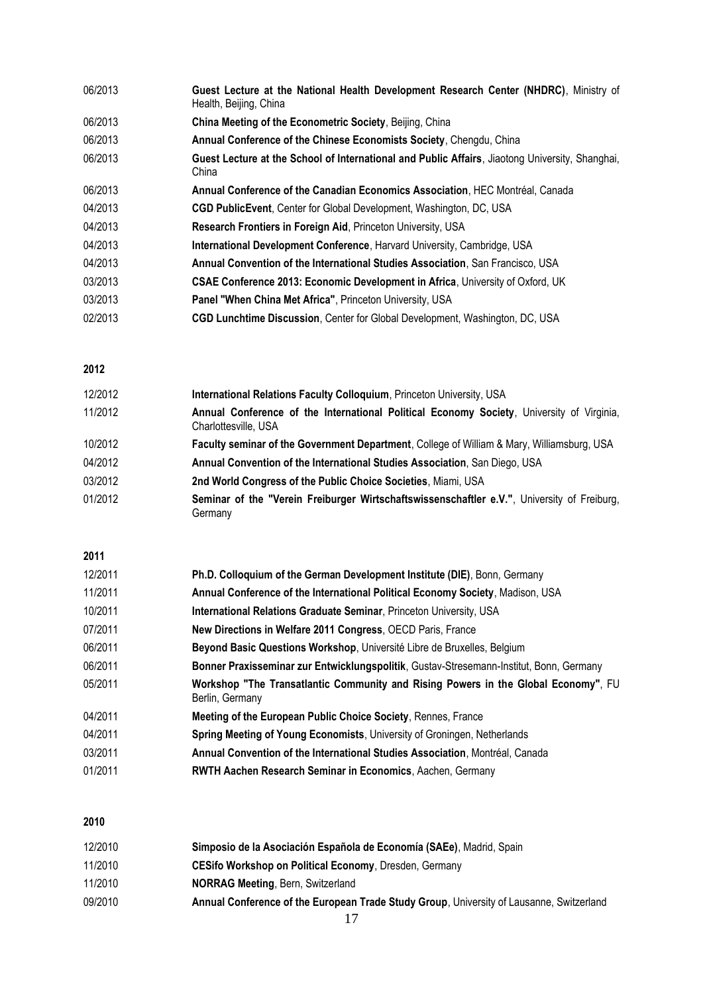| 06/2013 | Guest Lecture at the National Health Development Research Center (NHDRC), Ministry of<br>Health, Beijing, China |
|---------|-----------------------------------------------------------------------------------------------------------------|
| 06/2013 | China Meeting of the Econometric Society, Beijing, China                                                        |
| 06/2013 | Annual Conference of the Chinese Economists Society, Chengdu, China                                             |
| 06/2013 | Guest Lecture at the School of International and Public Affairs, Jiaotong University, Shanghai,<br>China        |
| 06/2013 | Annual Conference of the Canadian Economics Association, HEC Montréal, Canada                                   |
| 04/2013 | <b>CGD PublicEvent</b> , Center for Global Development, Washington, DC, USA                                     |
| 04/2013 | Research Frontiers in Foreign Aid, Princeton University, USA                                                    |
| 04/2013 | International Development Conference, Harvard University, Cambridge, USA                                        |
| 04/2013 | Annual Convention of the International Studies Association, San Francisco, USA                                  |
| 03/2013 | <b>CSAE Conference 2013: Economic Development in Africa, University of Oxford, UK</b>                           |
| 03/2013 | Panel "When China Met Africa", Princeton University, USA                                                        |
| 02/2013 | <b>CGD Lunchtime Discussion, Center for Global Development, Washington, DC, USA</b>                             |

#### **2012**

| 12/2012 | International Relations Faculty Colloquium, Princeton University, USA                                             |  |  |  |  |  |
|---------|-------------------------------------------------------------------------------------------------------------------|--|--|--|--|--|
| 11/2012 | Annual Conference of the International Political Economy Society, University of Virginia,<br>Charlottesville, USA |  |  |  |  |  |
| 10/2012 | Faculty seminar of the Government Department, College of William & Mary, Williamsburg, USA                        |  |  |  |  |  |
| 04/2012 | Annual Convention of the International Studies Association, San Diego, USA                                        |  |  |  |  |  |
| 03/2012 | 2nd World Congress of the Public Choice Societies, Miami, USA                                                     |  |  |  |  |  |
| 01/2012 | Seminar of the "Verein Freiburger Wirtschaftswissenschaftler e.V.", University of Freiburg,<br>Germany            |  |  |  |  |  |

#### **2011**

| 12/2011 | Ph.D. Colloquium of the German Development Institute (DIE), Bonn, Germany                             |
|---------|-------------------------------------------------------------------------------------------------------|
| 11/2011 | Annual Conference of the International Political Economy Society, Madison, USA                        |
| 10/2011 | International Relations Graduate Seminar, Princeton University, USA                                   |
| 07/2011 | New Directions in Welfare 2011 Congress, OECD Paris, France                                           |
| 06/2011 | Beyond Basic Questions Workshop, Université Libre de Bruxelles, Belgium                               |
| 06/2011 | Bonner Praxisseminar zur Entwicklungspolitik, Gustav-Stresemann-Institut, Bonn, Germany               |
| 05/2011 | Workshop "The Transatlantic Community and Rising Powers in the Global Economy", FU<br>Berlin, Germany |
| 04/2011 | Meeting of the European Public Choice Society, Rennes, France                                         |
| 04/2011 | Spring Meeting of Young Economists, University of Groningen, Netherlands                              |
| 03/2011 | <b>Annual Convention of the International Studies Association, Montréal, Canada</b>                   |
| 01/2011 | <b>RWTH Aachen Research Seminar in Economics, Aachen, Germany</b>                                     |

#### **2010**

| 12/2010 | Simposio de la Asociación Española de Economía (SAEe), Madrid, Spain                     |
|---------|------------------------------------------------------------------------------------------|
| 11/2010 | <b>CESifo Workshop on Political Economy, Dresden, Germany</b>                            |
| 11/2010 | <b>NORRAG Meeting, Bern, Switzerland</b>                                                 |
| 09/2010 | Annual Conference of the European Trade Study Group, University of Lausanne, Switzerland |
|         |                                                                                          |